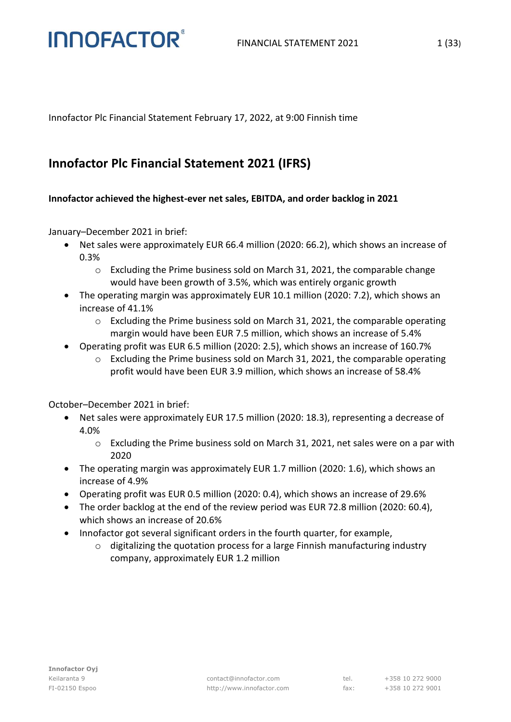Innofactor Plc Financial Statement February 17, 2022, at 9:00 Finnish time

### **Innofactor Plc Financial Statement 2021 (IFRS)**

#### **Innofactor achieved the highest-ever net sales, EBITDA, and order backlog in 2021**

January–December 2021 in brief:

**INNOFACTOR®** 

- Net sales were approximately EUR 66.4 million (2020: 66.2), which shows an increase of 0.3%
	- o Excluding the Prime business sold on March 31, 2021, the comparable change would have been growth of 3.5%, which was entirely organic growth
- The operating margin was approximately EUR 10.1 million (2020: 7.2), which shows an increase of 41.1%
	- $\circ$  Excluding the Prime business sold on March 31, 2021, the comparable operating margin would have been EUR 7.5 million, which shows an increase of 5.4%
- Operating profit was EUR 6.5 million (2020: 2.5), which shows an increase of 160.7%
	- $\circ$  Excluding the Prime business sold on March 31, 2021, the comparable operating profit would have been EUR 3.9 million, which shows an increase of 58.4%

October–December 2021 in brief:

- Net sales were approximately EUR 17.5 million (2020: 18.3), representing a decrease of 4.0%
	- o Excluding the Prime business sold on March 31, 2021, net sales were on a par with 2020
- The operating margin was approximately EUR 1.7 million (2020: 1.6), which shows an increase of 4.9%
- Operating profit was EUR 0.5 million (2020: 0.4), which shows an increase of 29.6%
- The order backlog at the end of the review period was EUR 72.8 million (2020: 60.4), which shows an increase of 20.6%
- Innofactor got several significant orders in the fourth quarter, for example,
	- $\circ$  digitalizing the quotation process for a large Finnish manufacturing industry company, approximately EUR 1.2 million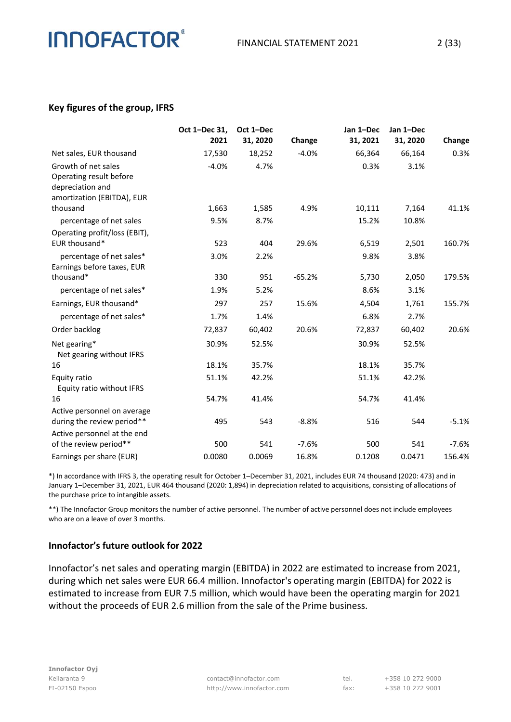#### **Key figures of the group, IFRS**

|                                                                                                  | Oct 1-Dec 31,<br>2021 | Oct 1-Dec<br>31, 2020 | Change   | Jan 1-Dec<br>31, 2021 | Jan 1-Dec<br>31, 2020 | Change  |
|--------------------------------------------------------------------------------------------------|-----------------------|-----------------------|----------|-----------------------|-----------------------|---------|
| Net sales, EUR thousand                                                                          | 17,530                | 18,252                | $-4.0%$  | 66,364                | 66,164                | 0.3%    |
| Growth of net sales<br>Operating result before<br>depreciation and<br>amortization (EBITDA), EUR | $-4.0%$               | 4.7%                  |          | 0.3%                  | 3.1%                  |         |
| thousand                                                                                         | 1,663                 | 1,585                 | 4.9%     | 10,111                | 7,164                 | 41.1%   |
| percentage of net sales                                                                          | 9.5%                  | 8.7%                  |          | 15.2%                 | 10.8%                 |         |
| Operating profit/loss (EBIT),<br>EUR thousand*                                                   | 523                   | 404                   | 29.6%    | 6,519                 | 2,501                 | 160.7%  |
| percentage of net sales*<br>Earnings before taxes, EUR                                           | 3.0%                  | 2.2%                  |          | 9.8%                  | 3.8%                  |         |
| thousand*                                                                                        | 330                   | 951                   | $-65.2%$ | 5,730                 | 2,050                 | 179.5%  |
| percentage of net sales*                                                                         | 1.9%                  | 5.2%                  |          | 8.6%                  | 3.1%                  |         |
| Earnings, EUR thousand*                                                                          | 297                   | 257                   | 15.6%    | 4,504                 | 1,761                 | 155.7%  |
| percentage of net sales*                                                                         | 1.7%                  | 1.4%                  |          | 6.8%                  | 2.7%                  |         |
| Order backlog                                                                                    | 72,837                | 60,402                | 20.6%    | 72,837                | 60,402                | 20.6%   |
| Net gearing*<br>Net gearing without IFRS                                                         | 30.9%                 | 52.5%                 |          | 30.9%                 | 52.5%                 |         |
| 16                                                                                               | 18.1%                 | 35.7%                 |          | 18.1%                 | 35.7%                 |         |
| Equity ratio<br>Equity ratio without IFRS                                                        | 51.1%                 | 42.2%                 |          | 51.1%                 | 42.2%                 |         |
| 16                                                                                               | 54.7%                 | 41.4%                 |          | 54.7%                 | 41.4%                 |         |
| Active personnel on average<br>during the review period**                                        | 495                   | 543                   | $-8.8%$  | 516                   | 544                   | $-5.1%$ |
| Active personnel at the end<br>of the review period**                                            | 500                   | 541                   | $-7.6%$  | 500                   | 541                   | $-7.6%$ |
| Earnings per share (EUR)                                                                         | 0.0080                | 0.0069                | 16.8%    | 0.1208                | 0.0471                | 156.4%  |

\*) In accordance with IFRS 3, the operating result for October 1–December 31, 2021, includes EUR 74 thousand (2020: 473) and in January 1–December 31, 2021, EUR 464 thousand (2020: 1,894) in depreciation related to acquisitions, consisting of allocations of the purchase price to intangible assets.

\*\*) The Innofactor Group monitors the number of active personnel. The number of active personnel does not include employees who are on a leave of over 3 months.

#### **Innofactor's future outlook for 2022**

Innofactor's net sales and operating margin (EBITDA) in 2022 are estimated to increase from 2021, during which net sales were EUR 66.4 million. Innofactor's operating margin (EBITDA) for 2022 is estimated to increase from EUR 7.5 million, which would have been the operating margin for 2021 without the proceeds of EUR 2.6 million from the sale of the Prime business.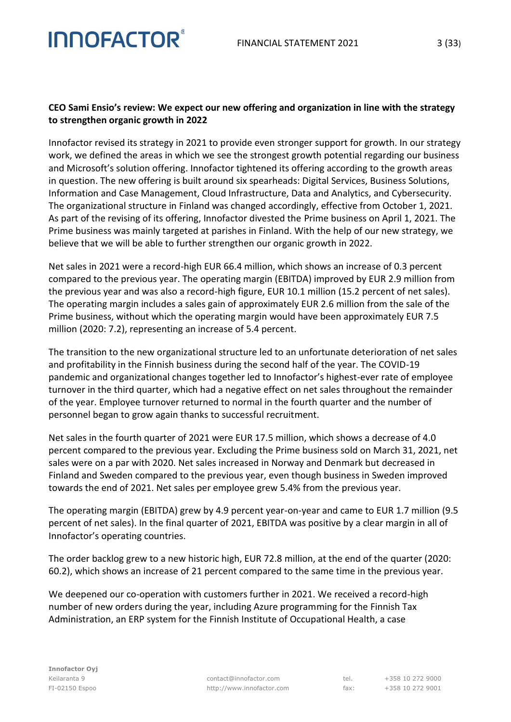#### **CEO Sami Ensio's review: We expect our new offering and organization in line with the strategy to strengthen organic growth in 2022**

**INNOFACTOR®** 

Innofactor revised its strategy in 2021 to provide even stronger support for growth. In our strategy work, we defined the areas in which we see the strongest growth potential regarding our business and Microsoft's solution offering. Innofactor tightened its offering according to the growth areas in question. The new offering is built around six spearheads: Digital Services, Business Solutions, Information and Case Management, Cloud Infrastructure, Data and Analytics, and Cybersecurity. The organizational structure in Finland was changed accordingly, effective from October 1, 2021. As part of the revising of its offering, Innofactor divested the Prime business on April 1, 2021. The Prime business was mainly targeted at parishes in Finland. With the help of our new strategy, we believe that we will be able to further strengthen our organic growth in 2022.

Net sales in 2021 were a record-high EUR 66.4 million, which shows an increase of 0.3 percent compared to the previous year. The operating margin (EBITDA) improved by EUR 2.9 million from the previous year and was also a record-high figure, EUR 10.1 million (15.2 percent of net sales). The operating margin includes a sales gain of approximately EUR 2.6 million from the sale of the Prime business, without which the operating margin would have been approximately EUR 7.5 million (2020: 7.2), representing an increase of 5.4 percent.

The transition to the new organizational structure led to an unfortunate deterioration of net sales and profitability in the Finnish business during the second half of the year. The COVID-19 pandemic and organizational changes together led to Innofactor's highest-ever rate of employee turnover in the third quarter, which had a negative effect on net sales throughout the remainder of the year. Employee turnover returned to normal in the fourth quarter and the number of personnel began to grow again thanks to successful recruitment.

Net sales in the fourth quarter of 2021 were EUR 17.5 million, which shows a decrease of 4.0 percent compared to the previous year. Excluding the Prime business sold on March 31, 2021, net sales were on a par with 2020. Net sales increased in Norway and Denmark but decreased in Finland and Sweden compared to the previous year, even though business in Sweden improved towards the end of 2021. Net sales per employee grew 5.4% from the previous year.

The operating margin (EBITDA) grew by 4.9 percent year-on-year and came to EUR 1.7 million (9.5 percent of net sales). In the final quarter of 2021, EBITDA was positive by a clear margin in all of Innofactor's operating countries.

The order backlog grew to a new historic high, EUR 72.8 million, at the end of the quarter (2020: 60.2), which shows an increase of 21 percent compared to the same time in the previous year.

We deepened our co-operation with customers further in 2021. We received a record-high number of new orders during the year, including Azure programming for the Finnish Tax Administration, an ERP system for the Finnish Institute of Occupational Health, a case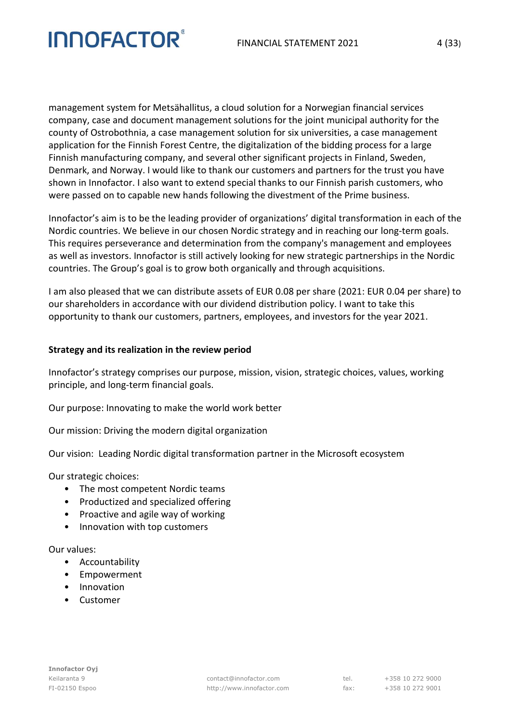management system for Metsähallitus, a cloud solution for a Norwegian financial services company, case and document management solutions for the joint municipal authority for the county of Ostrobothnia, a case management solution for six universities, a case management application for the Finnish Forest Centre, the digitalization of the bidding process for a large Finnish manufacturing company, and several other significant projects in Finland, Sweden, Denmark, and Norway. I would like to thank our customers and partners for the trust you have shown in Innofactor. I also want to extend special thanks to our Finnish parish customers, who were passed on to capable new hands following the divestment of the Prime business.

Innofactor's aim is to be the leading provider of organizations' digital transformation in each of the Nordic countries. We believe in our chosen Nordic strategy and in reaching our long-term goals. This requires perseverance and determination from the company's management and employees as well as investors. Innofactor is still actively looking for new strategic partnerships in the Nordic countries. The Group's goal is to grow both organically and through acquisitions.

I am also pleased that we can distribute assets of EUR 0.08 per share (2021: EUR 0.04 per share) to our shareholders in accordance with our dividend distribution policy. I want to take this opportunity to thank our customers, partners, employees, and investors for the year 2021.

#### **Strategy and its realization in the review period**

Innofactor's strategy comprises our purpose, mission, vision, strategic choices, values, working principle, and long-term financial goals.

Our purpose: Innovating to make the world work better

Our mission: Driving the modern digital organization

Our vision: Leading Nordic digital transformation partner in the Microsoft ecosystem

Our strategic choices:

- The most competent Nordic teams
- Productized and specialized offering
- Proactive and agile way of working
- Innovation with top customers

#### Our values:

- Accountability
- Empowerment
- Innovation
- Customer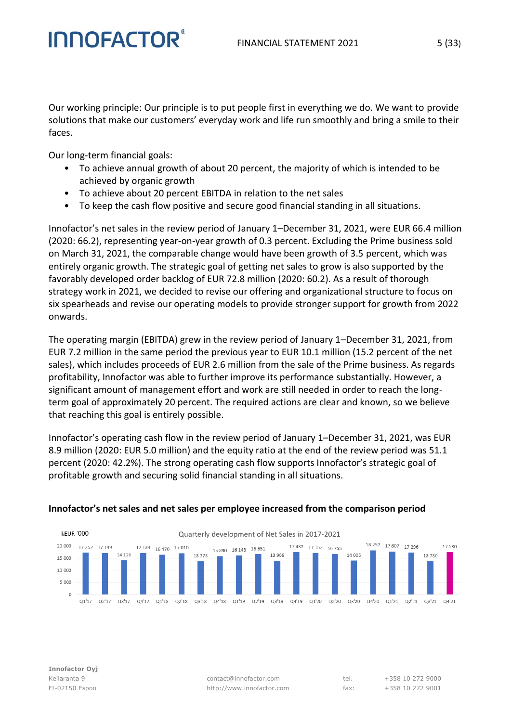Our working principle: Our principle is to put people first in everything we do. We want to provide solutions that make our customers' everyday work and life run smoothly and bring a smile to their faces.

Our long-term financial goals:

**INNOFACTOR** 

- To achieve annual growth of about 20 percent, the majority of which is intended to be achieved by organic growth
- To achieve about 20 percent EBITDA in relation to the net sales
- To keep the cash flow positive and secure good financial standing in all situations.

Innofactor's net sales in the review period of January 1–December 31, 2021, were EUR 66.4 million (2020: 66.2), representing year-on-year growth of 0.3 percent. Excluding the Prime business sold on March 31, 2021, the comparable change would have been growth of 3.5 percent, which was entirely organic growth. The strategic goal of getting net sales to grow is also supported by the favorably developed order backlog of EUR 72.8 million (2020: 60.2). As a result of thorough strategy work in 2021, we decided to revise our offering and organizational structure to focus on six spearheads and revise our operating models to provide stronger support for growth from 2022 onwards.

The operating margin (EBITDA) grew in the review period of January 1–December 31, 2021, from EUR 7.2 million in the same period the previous year to EUR 10.1 million (15.2 percent of the net sales), which includes proceeds of EUR 2.6 million from the sale of the Prime business. As regards profitability, Innofactor was able to further improve its performance substantially. However, a significant amount of management effort and work are still needed in order to reach the longterm goal of approximately 20 percent. The required actions are clear and known, so we believe that reaching this goal is entirely possible.

Innofactor's operating cash flow in the review period of January 1–December 31, 2021, was EUR 8.9 million (2020: EUR 5.0 million) and the equity ratio at the end of the review period was 51.1 percent (2020: 42.2%). The strong operating cash flow supports Innofactor's strategic goal of profitable growth and securing solid financial standing in all situations.



#### **Innofactor's net sales and net sales per employee increased from the comparison period**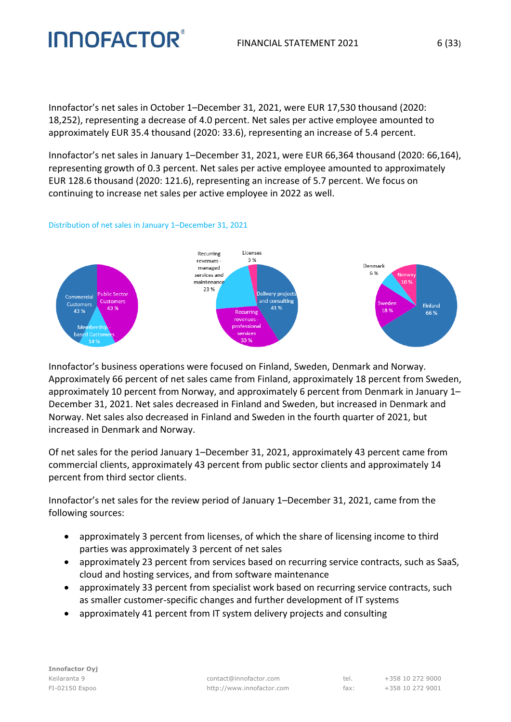Innofactor's net sales in October 1–December 31, 2021, were EUR 17,530 thousand (2020: 18,252), representing a decrease of 4.0 percent. Net sales per active employee amounted to approximately EUR 35.4 thousand (2020: 33.6), representing an increase of 5.4 percent.

Innofactor's net sales in January 1–December 31, 2021, were EUR 66,364 thousand (2020: 66,164), representing growth of 0.3 percent. Net sales per active employee amounted to approximately EUR 128.6 thousand (2020: 121.6), representing an increase of 5.7 percent. We focus on continuing to increase net sales per active employee in 2022 as well.

#### Distribution of net sales in January 1–December 31, 2021



Innofactor's business operations were focused on Finland, Sweden, Denmark and Norway. Approximately 66 percent of net sales came from Finland, approximately 18 percent from Sweden, approximately 10 percent from Norway, and approximately 6 percent from Denmark in January 1– December 31, 2021. Net sales decreased in Finland and Sweden, but increased in Denmark and Norway. Net sales also decreased in Finland and Sweden in the fourth quarter of 2021, but increased in Denmark and Norway.

Of net sales for the period January 1–December 31, 2021, approximately 43 percent came from commercial clients, approximately 43 percent from public sector clients and approximately 14 percent from third sector clients.

Innofactor's net sales for the review period of January 1–December 31, 2021, came from the following sources:

- approximately 3 percent from licenses, of which the share of licensing income to third parties was approximately 3 percent of net sales
- approximately 23 percent from services based on recurring service contracts, such as SaaS, cloud and hosting services, and from software maintenance
- approximately 33 percent from specialist work based on recurring service contracts, such as smaller customer-specific changes and further development of IT systems
- approximately 41 percent from IT system delivery projects and consulting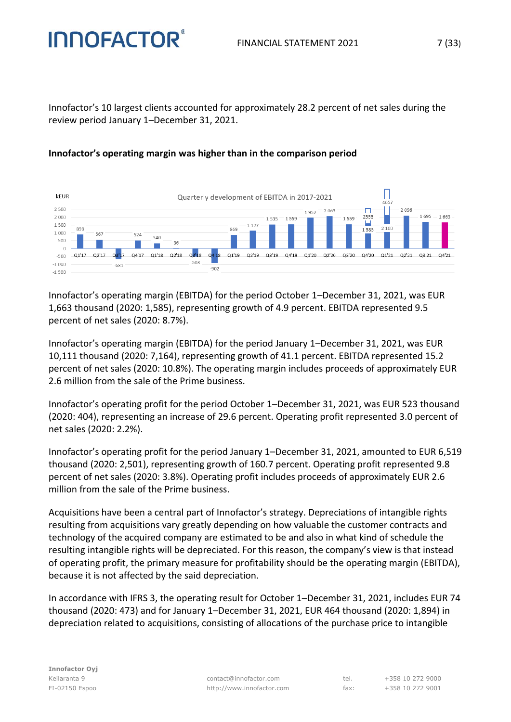#### FINANCIAL STATEMENT 2021 7 (33)

Innofactor's 10 largest clients accounted for approximately 28.2 percent of net sales during the review period January 1–December 31, 2021.



#### **Innofactor's operating margin was higher than in the comparison period**

**INNOFACTOR** 

Innofactor's operating margin (EBITDA) for the period October 1–December 31, 2021, was EUR 1,663 thousand (2020: 1,585), representing growth of 4.9 percent. EBITDA represented 9.5 percent of net sales (2020: 8.7%).

Innofactor's operating margin (EBITDA) for the period January 1–December 31, 2021, was EUR 10,111 thousand (2020: 7,164), representing growth of 41.1 percent. EBITDA represented 15.2 percent of net sales (2020: 10.8%). The operating margin includes proceeds of approximately EUR 2.6 million from the sale of the Prime business.

Innofactor's operating profit for the period October 1–December 31, 2021, was EUR 523 thousand (2020: 404), representing an increase of 29.6 percent. Operating profit represented 3.0 percent of net sales (2020: 2.2%).

Innofactor's operating profit for the period January 1–December 31, 2021, amounted to EUR 6,519 thousand (2020: 2,501), representing growth of 160.7 percent. Operating profit represented 9.8 percent of net sales (2020: 3.8%). Operating profit includes proceeds of approximately EUR 2.6 million from the sale of the Prime business.

Acquisitions have been a central part of Innofactor's strategy. Depreciations of intangible rights resulting from acquisitions vary greatly depending on how valuable the customer contracts and technology of the acquired company are estimated to be and also in what kind of schedule the resulting intangible rights will be depreciated. For this reason, the company's view is that instead of operating profit, the primary measure for profitability should be the operating margin (EBITDA), because it is not affected by the said depreciation.

In accordance with IFRS 3, the operating result for October 1–December 31, 2021, includes EUR 74 thousand (2020: 473) and for January 1–December 31, 2021, EUR 464 thousand (2020: 1,894) in depreciation related to acquisitions, consisting of allocations of the purchase price to intangible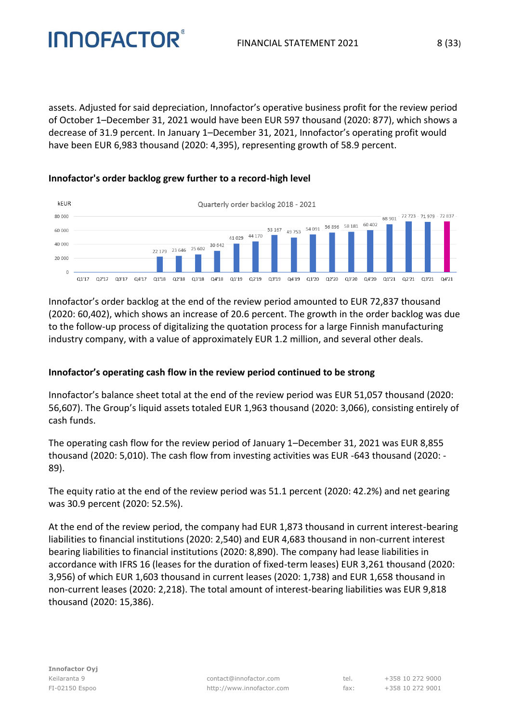assets. Adjusted for said depreciation, Innofactor's operative business profit for the review period of October 1–December 31, 2021 would have been EUR 597 thousand (2020: 877), which shows a decrease of 31.9 percent. In January 1–December 31, 2021, Innofactor's operating profit would have been EUR 6,983 thousand (2020: 4,395), representing growth of 58.9 percent.



#### **Innofactor's order backlog grew further to a record-high level**

**INNOFACTOR** 

(2020: 60,402), which shows an increase of 20.6 percent. The growth in the order backlog was due to the follow-up process of digitalizing the quotation process for a large Finnish manufacturing industry company, with a value of approximately EUR 1.2 million, and several other deals.

Innofactor's order backlog at the end of the review period amounted to EUR 72,837 thousand

#### **Innofactor's operating cash flow in the review period continued to be strong**

Innofactor's balance sheet total at the end of the review period was EUR 51,057 thousand (2020: 56,607). The Group's liquid assets totaled EUR 1,963 thousand (2020: 3,066), consisting entirely of cash funds.

The operating cash flow for the review period of January 1–December 31, 2021 was EUR 8,855 thousand (2020: 5,010). The cash flow from investing activities was EUR -643 thousand (2020: - 89).

The equity ratio at the end of the review period was 51.1 percent (2020: 42.2%) and net gearing was 30.9 percent (2020: 52.5%).

At the end of the review period, the company had EUR 1,873 thousand in current interest-bearing liabilities to financial institutions (2020: 2,540) and EUR 4,683 thousand in non-current interest bearing liabilities to financial institutions (2020: 8,890). The company had lease liabilities in accordance with IFRS 16 (leases for the duration of fixed-term leases) EUR 3,261 thousand (2020: 3,956) of which EUR 1,603 thousand in current leases (2020: 1,738) and EUR 1,658 thousand in non-current leases (2020: 2,218). The total amount of interest-bearing liabilities was EUR 9,818 thousand (2020: 15,386).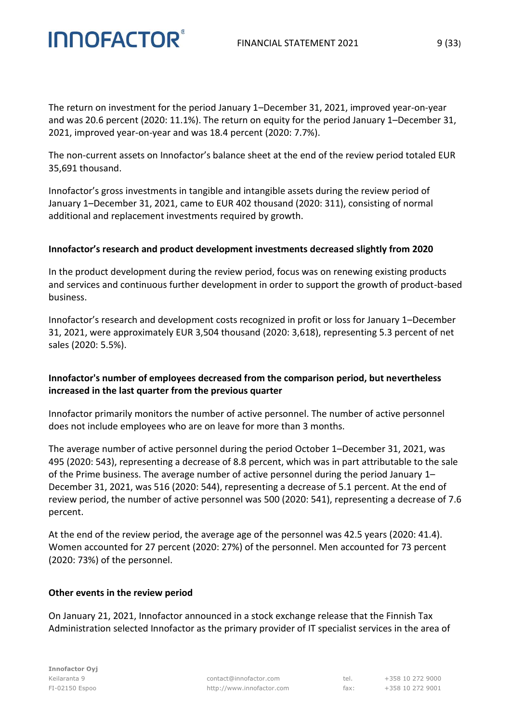The return on investment for the period January 1–December 31, 2021, improved year-on-year and was 20.6 percent (2020: 11.1%). The return on equity for the period January 1–December 31, 2021, improved year-on-year and was 18.4 percent (2020: 7.7%).

The non-current assets on Innofactor's balance sheet at the end of the review period totaled EUR 35,691 thousand.

Innofactor's gross investments in tangible and intangible assets during the review period of January 1–December 31, 2021, came to EUR 402 thousand (2020: 311), consisting of normal additional and replacement investments required by growth.

#### **Innofactor's research and product development investments decreased slightly from 2020**

In the product development during the review period, focus was on renewing existing products and services and continuous further development in order to support the growth of product-based business.

Innofactor's research and development costs recognized in profit or loss for January 1–December 31, 2021, were approximately EUR 3,504 thousand (2020: 3,618), representing 5.3 percent of net sales (2020: 5.5%).

#### **Innofactor's number of employees decreased from the comparison period, but nevertheless increased in the last quarter from the previous quarter**

Innofactor primarily monitors the number of active personnel. The number of active personnel does not include employees who are on leave for more than 3 months.

The average number of active personnel during the period October 1–December 31, 2021, was 495 (2020: 543), representing a decrease of 8.8 percent, which was in part attributable to the sale of the Prime business. The average number of active personnel during the period January 1– December 31, 2021, was 516 (2020: 544), representing a decrease of 5.1 percent. At the end of review period, the number of active personnel was 500 (2020: 541), representing a decrease of 7.6 percent.

At the end of the review period, the average age of the personnel was 42.5 years (2020: 41.4). Women accounted for 27 percent (2020: 27%) of the personnel. Men accounted for 73 percent (2020: 73%) of the personnel.

#### **Other events in the review period**

**INNOFACTOR®** 

On January 21, 2021, Innofactor announced in a stock exchange release that the Finnish Tax Administration selected Innofactor as the primary provider of IT specialist services in the area of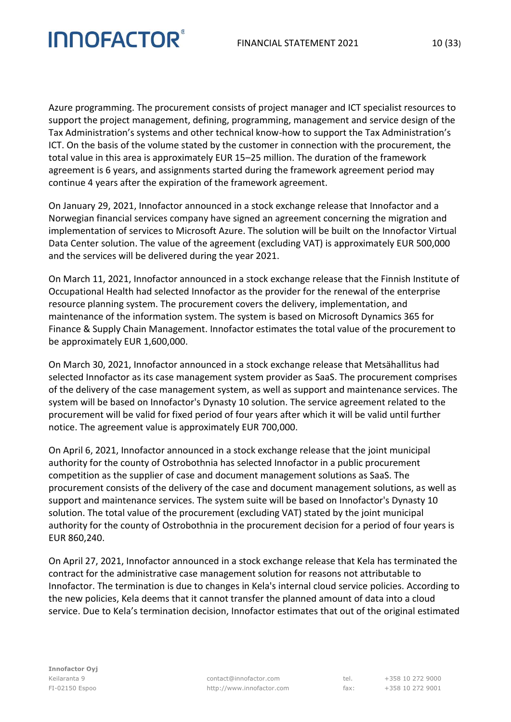Azure programming. The procurement consists of project manager and ICT specialist resources to support the project management, defining, programming, management and service design of the Tax Administration's systems and other technical know-how to support the Tax Administration's ICT. On the basis of the volume stated by the customer in connection with the procurement, the total value in this area is approximately EUR 15–25 million. The duration of the framework agreement is 6 years, and assignments started during the framework agreement period may continue 4 years after the expiration of the framework agreement.

On January 29, 2021, Innofactor announced in a stock exchange release that Innofactor and a Norwegian financial services company have signed an agreement concerning the migration and implementation of services to Microsoft Azure. The solution will be built on the Innofactor Virtual Data Center solution. The value of the agreement (excluding VAT) is approximately EUR 500,000 and the services will be delivered during the year 2021.

On March 11, 2021, Innofactor announced in a stock exchange release that the Finnish Institute of Occupational Health had selected Innofactor as the provider for the renewal of the enterprise resource planning system. The procurement covers the delivery, implementation, and maintenance of the information system. The system is based on Microsoft Dynamics 365 for Finance & Supply Chain Management. Innofactor estimates the total value of the procurement to be approximately EUR 1,600,000.

On March 30, 2021, Innofactor announced in a stock exchange release that Metsähallitus had selected Innofactor as its case management system provider as SaaS. The procurement comprises of the delivery of the case management system, as well as support and maintenance services. The system will be based on Innofactor's Dynasty 10 solution. The service agreement related to the procurement will be valid for fixed period of four years after which it will be valid until further notice. The agreement value is approximately EUR 700,000.

On April 6, 2021, Innofactor announced in a stock exchange release that the joint municipal authority for the county of Ostrobothnia has selected Innofactor in a public procurement competition as the supplier of case and document management solutions as SaaS. The procurement consists of the delivery of the case and document management solutions, as well as support and maintenance services. The system suite will be based on Innofactor's Dynasty 10 solution. The total value of the procurement (excluding VAT) stated by the joint municipal authority for the county of Ostrobothnia in the procurement decision for a period of four years is EUR 860,240.

On April 27, 2021, Innofactor announced in a stock exchange release that Kela has terminated the contract for the administrative case management solution for reasons not attributable to Innofactor. The termination is due to changes in Kela's internal cloud service policies. According to the new policies, Kela deems that it cannot transfer the planned amount of data into a cloud service. Due to Kela's termination decision, Innofactor estimates that out of the original estimated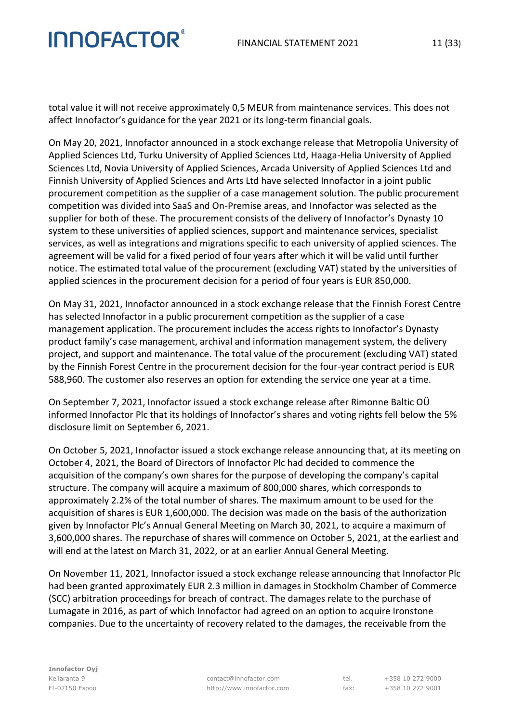total value it will not receive approximately 0,5 MEUR from maintenance services. This does not affect Innofactor's guidance for the year 2021 or its long-term financial goals.

On May 20, 2021, Innofactor announced in a stock exchange release that Metropolia University of Applied Sciences Ltd, Turku University of Applied Sciences Ltd, Haaga-Helia University of Applied Sciences Ltd, Novia University of Applied Sciences, Arcada University of Applied Sciences Ltd and Finnish University of Applied Sciences and Arts Ltd have selected Innofactor in a joint public procurement competition as the supplier of a case management solution. The public procurement competition was divided into SaaS and On-Premise areas, and Innofactor was selected as the supplier for both of these. The procurement consists of the delivery of Innofactor's Dynasty 10 system to these universities of applied sciences, support and maintenance services, specialist services, as well as integrations and migrations specific to each university of applied sciences. The agreement will be valid for a fixed period of four years after which it will be valid until further notice. The estimated total value of the procurement (excluding VAT) stated by the universities of applied sciences in the procurement decision for a period of four years is EUR 850,000.

On May 31, 2021, Innofactor announced in a stock exchange release that the Finnish Forest Centre has selected Innofactor in a public procurement competition as the supplier of a case management application. The procurement includes the access rights to Innofactor's Dynasty product family's case management, archival and information management system, the delivery project, and support and maintenance. The total value of the procurement (excluding VAT) stated by the Finnish Forest Centre in the procurement decision for the four-year contract period is EUR 588,960. The customer also reserves an option for extending the service one year at a time.

On September 7, 2021, Innofactor issued a stock exchange release after Rimonne Baltic OÜ informed Innofactor Plc that its holdings of Innofactor's shares and voting rights fell below the 5% disclosure limit on September 6, 2021.

On October 5, 2021, Innofactor issued a stock exchange release announcing that, at its meeting on October 4, 2021, the Board of Directors of Innofactor Plc had decided to commence the acquisition of the company's own shares for the purpose of developing the company's capital structure. The company will acquire a maximum of 800,000 shares, which corresponds to approximately 2.2% of the total number of shares. The maximum amount to be used for the acquisition of shares is EUR 1,600,000. The decision was made on the basis of the authorization given by Innofactor Plc's Annual General Meeting on March 30, 2021, to acquire a maximum of 3,600,000 shares. The repurchase of shares will commence on October 5, 2021, at the earliest and will end at the latest on March 31, 2022, or at an earlier Annual General Meeting.

On November 11, 2021, Innofactor issued a stock exchange release announcing that Innofactor Plc had been granted approximately EUR 2.3 million in damages in Stockholm Chamber of Commerce (SCC) arbitration proceedings for breach of contract. The damages relate to the purchase of Lumagate in 2016, as part of which Innofactor had agreed on an option to acquire Ironstone companies. Due to the uncertainty of recovery related to the damages, the receivable from the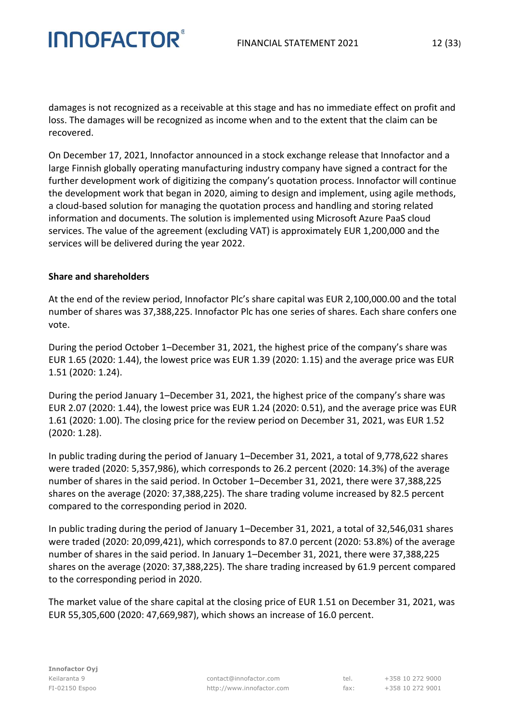damages is not recognized as a receivable at this stage and has no immediate effect on profit and loss. The damages will be recognized as income when and to the extent that the claim can be recovered.

On December 17, 2021, Innofactor announced in a stock exchange release that Innofactor and a large Finnish globally operating manufacturing industry company have signed a contract for the further development work of digitizing the company's quotation process. Innofactor will continue the development work that began in 2020, aiming to design and implement, using agile methods, a cloud-based solution for managing the quotation process and handling and storing related information and documents. The solution is implemented using Microsoft Azure PaaS cloud services. The value of the agreement (excluding VAT) is approximately EUR 1,200,000 and the services will be delivered during the year 2022.

#### **Share and shareholders**

**INNOFACTOR®** 

At the end of the review period, Innofactor Plc's share capital was EUR 2,100,000.00 and the total number of shares was 37,388,225. Innofactor Plc has one series of shares. Each share confers one vote.

During the period October 1–December 31, 2021, the highest price of the company's share was EUR 1.65 (2020: 1.44), the lowest price was EUR 1.39 (2020: 1.15) and the average price was EUR 1.51 (2020: 1.24).

During the period January 1–December 31, 2021, the highest price of the company's share was EUR 2.07 (2020: 1.44), the lowest price was EUR 1.24 (2020: 0.51), and the average price was EUR 1.61 (2020: 1.00). The closing price for the review period on December 31, 2021, was EUR 1.52 (2020: 1.28).

In public trading during the period of January 1–December 31, 2021, a total of 9,778,622 shares were traded (2020: 5,357,986), which corresponds to 26.2 percent (2020: 14.3%) of the average number of shares in the said period. In October 1–December 31, 2021, there were 37,388,225 shares on the average (2020: 37,388,225). The share trading volume increased by 82.5 percent compared to the corresponding period in 2020.

In public trading during the period of January 1–December 31, 2021, a total of 32,546,031 shares were traded (2020: 20,099,421), which corresponds to 87.0 percent (2020: 53.8%) of the average number of shares in the said period. In January 1–December 31, 2021, there were 37,388,225 shares on the average (2020: 37,388,225). The share trading increased by 61.9 percent compared to the corresponding period in 2020.

The market value of the share capital at the closing price of EUR 1.51 on December 31, 2021, was EUR 55,305,600 (2020: 47,669,987), which shows an increase of 16.0 percent.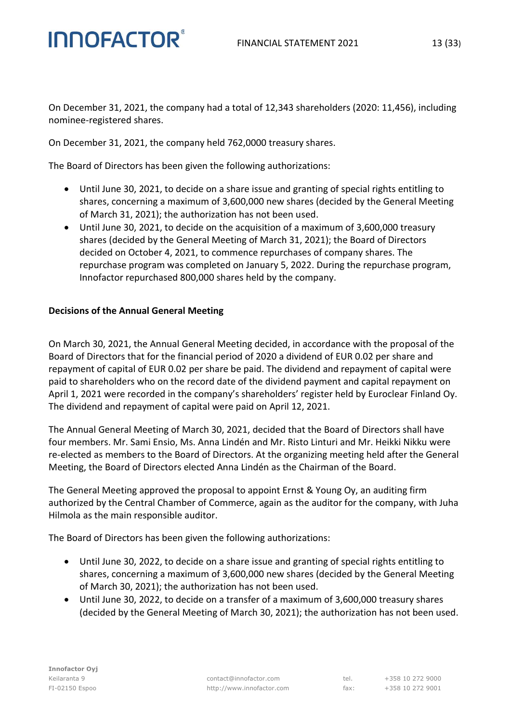On December 31, 2021, the company had a total of 12,343 shareholders (2020: 11,456), including nominee-registered shares.

On December 31, 2021, the company held 762,0000 treasury shares.

The Board of Directors has been given the following authorizations:

- Until June 30, 2021, to decide on a share issue and granting of special rights entitling to shares, concerning a maximum of 3,600,000 new shares (decided by the General Meeting of March 31, 2021); the authorization has not been used.
- Until June 30, 2021, to decide on the acquisition of a maximum of 3,600,000 treasury shares (decided by the General Meeting of March 31, 2021); the Board of Directors decided on October 4, 2021, to commence repurchases of company shares. The repurchase program was completed on January 5, 2022. During the repurchase program, Innofactor repurchased 800,000 shares held by the company.

#### **Decisions of the Annual General Meeting**

On March 30, 2021, the Annual General Meeting decided, in accordance with the proposal of the Board of Directors that for the financial period of 2020 a dividend of EUR 0.02 per share and repayment of capital of EUR 0.02 per share be paid. The dividend and repayment of capital were paid to shareholders who on the record date of the dividend payment and capital repayment on April 1, 2021 were recorded in the company's shareholders' register held by Euroclear Finland Oy. The dividend and repayment of capital were paid on April 12, 2021.

The Annual General Meeting of March 30, 2021, decided that the Board of Directors shall have four members. Mr. Sami Ensio, Ms. Anna Lindén and Mr. Risto Linturi and Mr. Heikki Nikku were re-elected as members to the Board of Directors. At the organizing meeting held after the General Meeting, the Board of Directors elected Anna Lindén as the Chairman of the Board.

The General Meeting approved the proposal to appoint Ernst & Young Oy, an auditing firm authorized by the Central Chamber of Commerce, again as the auditor for the company, with Juha Hilmola as the main responsible auditor.

The Board of Directors has been given the following authorizations:

- Until June 30, 2022, to decide on a share issue and granting of special rights entitling to shares, concerning a maximum of 3,600,000 new shares (decided by the General Meeting of March 30, 2021); the authorization has not been used.
- Until June 30, 2022, to decide on a transfer of a maximum of 3,600,000 treasury shares (decided by the General Meeting of March 30, 2021); the authorization has not been used.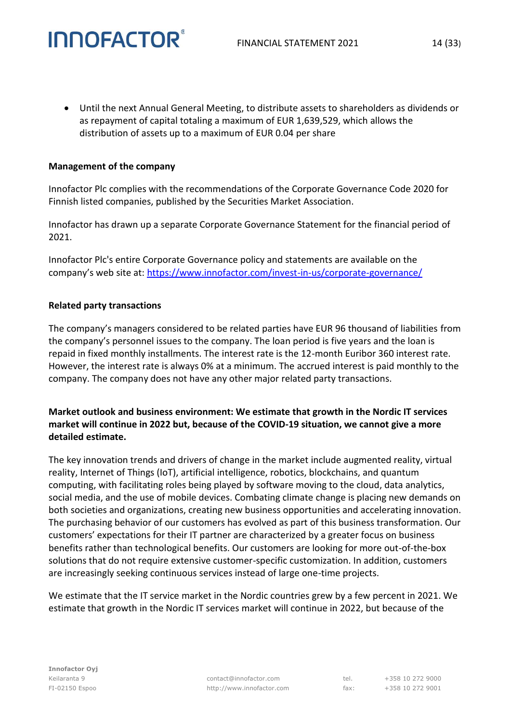• Until the next Annual General Meeting, to distribute assets to shareholders as dividends or as repayment of capital totaling a maximum of EUR 1,639,529, which allows the distribution of assets up to a maximum of EUR 0.04 per share

#### **Management of the company**

**INNOFACTOR®** 

Innofactor Plc complies with the recommendations of the Corporate Governance Code 2020 for Finnish listed companies, published by the Securities Market Association.

Innofactor has drawn up a separate Corporate Governance Statement for the financial period of 2021.

Innofactor Plc's entire Corporate Governance policy and statements are available on the company's web site at: <https://www.innofactor.com/invest-in-us/corporate-governance/>

#### **Related party transactions**

The company's managers considered to be related parties have EUR 96 thousand of liabilities from the company's personnel issues to the company. The loan period is five years and the loan is repaid in fixed monthly installments. The interest rate is the 12-month Euribor 360 interest rate. However, the interest rate is always 0% at a minimum. The accrued interest is paid monthly to the company. The company does not have any other major related party transactions.

#### **Market outlook and business environment: We estimate that growth in the Nordic IT services market will continue in 2022 but, because of the COVID-19 situation, we cannot give a more detailed estimate.**

The key innovation trends and drivers of change in the market include augmented reality, virtual reality, Internet of Things (IoT), artificial intelligence, robotics, blockchains, and quantum computing, with facilitating roles being played by software moving to the cloud, data analytics, social media, and the use of mobile devices. Combating climate change is placing new demands on both societies and organizations, creating new business opportunities and accelerating innovation. The purchasing behavior of our customers has evolved as part of this business transformation. Our customers' expectations for their IT partner are characterized by a greater focus on business benefits rather than technological benefits. Our customers are looking for more out-of-the-box solutions that do not require extensive customer-specific customization. In addition, customers are increasingly seeking continuous services instead of large one-time projects.

We estimate that the IT service market in the Nordic countries grew by a few percent in 2021. We estimate that growth in the Nordic IT services market will continue in 2022, but because of the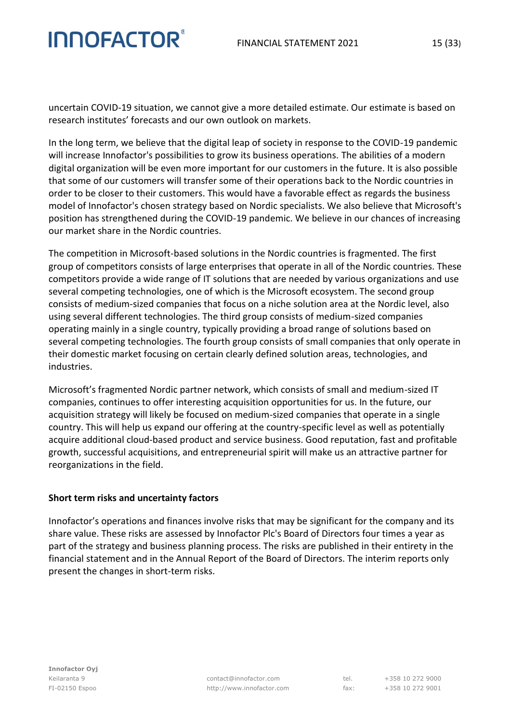uncertain COVID-19 situation, we cannot give a more detailed estimate. Our estimate is based on research institutes' forecasts and our own outlook on markets.

In the long term, we believe that the digital leap of society in response to the COVID-19 pandemic will increase Innofactor's possibilities to grow its business operations. The abilities of a modern digital organization will be even more important for our customers in the future. It is also possible that some of our customers will transfer some of their operations back to the Nordic countries in order to be closer to their customers. This would have a favorable effect as regards the business model of Innofactor's chosen strategy based on Nordic specialists. We also believe that Microsoft's position has strengthened during the COVID-19 pandemic. We believe in our chances of increasing our market share in the Nordic countries.

The competition in Microsoft-based solutions in the Nordic countries is fragmented. The first group of competitors consists of large enterprises that operate in all of the Nordic countries. These competitors provide a wide range of IT solutions that are needed by various organizations and use several competing technologies, one of which is the Microsoft ecosystem. The second group consists of medium-sized companies that focus on a niche solution area at the Nordic level, also using several different technologies. The third group consists of medium-sized companies operating mainly in a single country, typically providing a broad range of solutions based on several competing technologies. The fourth group consists of small companies that only operate in their domestic market focusing on certain clearly defined solution areas, technologies, and industries.

Microsoft's fragmented Nordic partner network, which consists of small and medium-sized IT companies, continues to offer interesting acquisition opportunities for us. In the future, our acquisition strategy will likely be focused on medium-sized companies that operate in a single country. This will help us expand our offering at the country-specific level as well as potentially acquire additional cloud-based product and service business. Good reputation, fast and profitable growth, successful acquisitions, and entrepreneurial spirit will make us an attractive partner for reorganizations in the field.

#### **Short term risks and uncertainty factors**

Innofactor's operations and finances involve risks that may be significant for the company and its share value. These risks are assessed by Innofactor Plc's Board of Directors four times a year as part of the strategy and business planning process. The risks are published in their entirety in the financial statement and in the Annual Report of the Board of Directors. The interim reports only present the changes in short-term risks.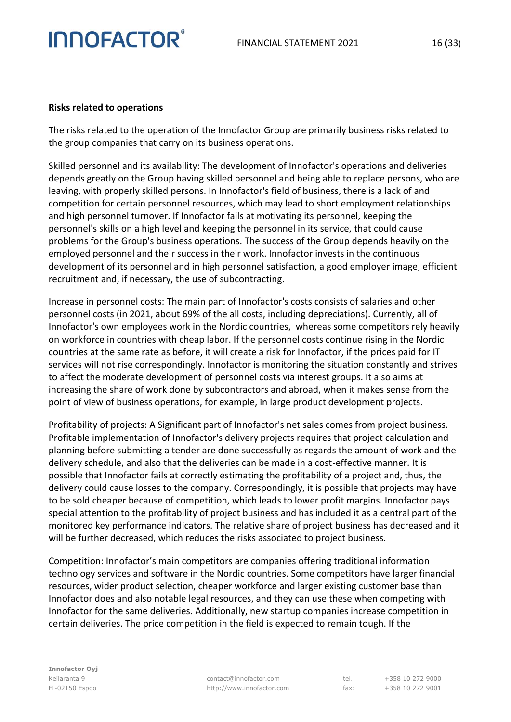#### **Risks related to operations**

The risks related to the operation of the Innofactor Group are primarily business risks related to the group companies that carry on its business operations.

Skilled personnel and its availability: The development of Innofactor's operations and deliveries depends greatly on the Group having skilled personnel and being able to replace persons, who are leaving, with properly skilled persons. In Innofactor's field of business, there is a lack of and competition for certain personnel resources, which may lead to short employment relationships and high personnel turnover. If Innofactor fails at motivating its personnel, keeping the personnel's skills on a high level and keeping the personnel in its service, that could cause problems for the Group's business operations. The success of the Group depends heavily on the employed personnel and their success in their work. Innofactor invests in the continuous development of its personnel and in high personnel satisfaction, a good employer image, efficient recruitment and, if necessary, the use of subcontracting.

Increase in personnel costs: The main part of Innofactor's costs consists of salaries and other personnel costs (in 2021, about 69% of the all costs, including depreciations). Currently, all of Innofactor's own employees work in the Nordic countries, whereas some competitors rely heavily on workforce in countries with cheap labor. If the personnel costs continue rising in the Nordic countries at the same rate as before, it will create a risk for Innofactor, if the prices paid for IT services will not rise correspondingly. Innofactor is monitoring the situation constantly and strives to affect the moderate development of personnel costs via interest groups. It also aims at increasing the share of work done by subcontractors and abroad, when it makes sense from the point of view of business operations, for example, in large product development projects.

Profitability of projects: A Significant part of Innofactor's net sales comes from project business. Profitable implementation of Innofactor's delivery projects requires that project calculation and planning before submitting a tender are done successfully as regards the amount of work and the delivery schedule, and also that the deliveries can be made in a cost-effective manner. It is possible that Innofactor fails at correctly estimating the profitability of a project and, thus, the delivery could cause losses to the company. Correspondingly, it is possible that projects may have to be sold cheaper because of competition, which leads to lower profit margins. Innofactor pays special attention to the profitability of project business and has included it as a central part of the monitored key performance indicators. The relative share of project business has decreased and it will be further decreased, which reduces the risks associated to project business.

Competition: Innofactor's main competitors are companies offering traditional information technology services and software in the Nordic countries. Some competitors have larger financial resources, wider product selection, cheaper workforce and larger existing customer base than Innofactor does and also notable legal resources, and they can use these when competing with Innofactor for the same deliveries. Additionally, new startup companies increase competition in certain deliveries. The price competition in the field is expected to remain tough. If the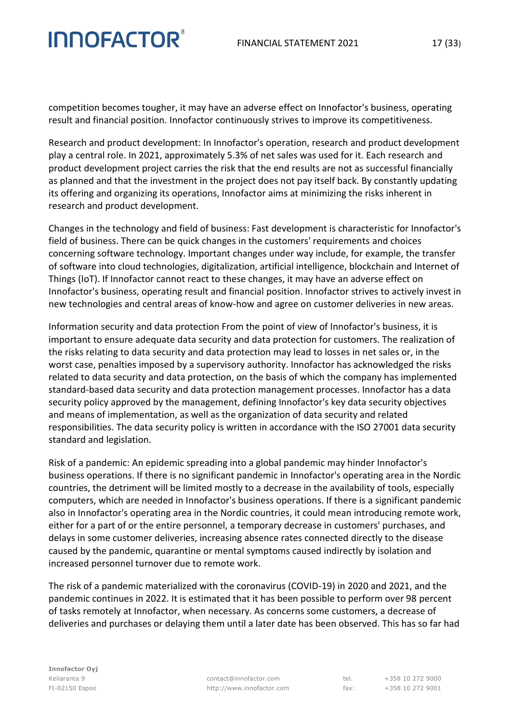competition becomes tougher, it may have an adverse effect on Innofactor's business, operating result and financial position. Innofactor continuously strives to improve its competitiveness.

Research and product development: In Innofactor's operation, research and product development play a central role. In 2021, approximately 5.3% of net sales was used for it. Each research and product development project carries the risk that the end results are not as successful financially as planned and that the investment in the project does not pay itself back. By constantly updating its offering and organizing its operations, Innofactor aims at minimizing the risks inherent in research and product development.

Changes in the technology and field of business: Fast development is characteristic for Innofactor's field of business. There can be quick changes in the customers' requirements and choices concerning software technology. Important changes under way include, for example, the transfer of software into cloud technologies, digitalization, artificial intelligence, blockchain and Internet of Things (IoT). If Innofactor cannot react to these changes, it may have an adverse effect on Innofactor's business, operating result and financial position. Innofactor strives to actively invest in new technologies and central areas of know-how and agree on customer deliveries in new areas.

Information security and data protection From the point of view of Innofactor's business, it is important to ensure adequate data security and data protection for customers. The realization of the risks relating to data security and data protection may lead to losses in net sales or, in the worst case, penalties imposed by a supervisory authority. Innofactor has acknowledged the risks related to data security and data protection, on the basis of which the company has implemented standard-based data security and data protection management processes. Innofactor has a data security policy approved by the management, defining Innofactor's key data security objectives and means of implementation, as well as the organization of data security and related responsibilities. The data security policy is written in accordance with the ISO 27001 data security standard and legislation.

Risk of a pandemic: An epidemic spreading into a global pandemic may hinder Innofactor's business operations. If there is no significant pandemic in Innofactor's operating area in the Nordic countries, the detriment will be limited mostly to a decrease in the availability of tools, especially computers, which are needed in Innofactor's business operations. If there is a significant pandemic also in Innofactor's operating area in the Nordic countries, it could mean introducing remote work, either for a part of or the entire personnel, a temporary decrease in customers' purchases, and delays in some customer deliveries, increasing absence rates connected directly to the disease caused by the pandemic, quarantine or mental symptoms caused indirectly by isolation and increased personnel turnover due to remote work.

The risk of a pandemic materialized with the coronavirus (COVID-19) in 2020 and 2021, and the pandemic continues in 2022. It is estimated that it has been possible to perform over 98 percent of tasks remotely at Innofactor, when necessary. As concerns some customers, a decrease of deliveries and purchases or delaying them until a later date has been observed. This has so far had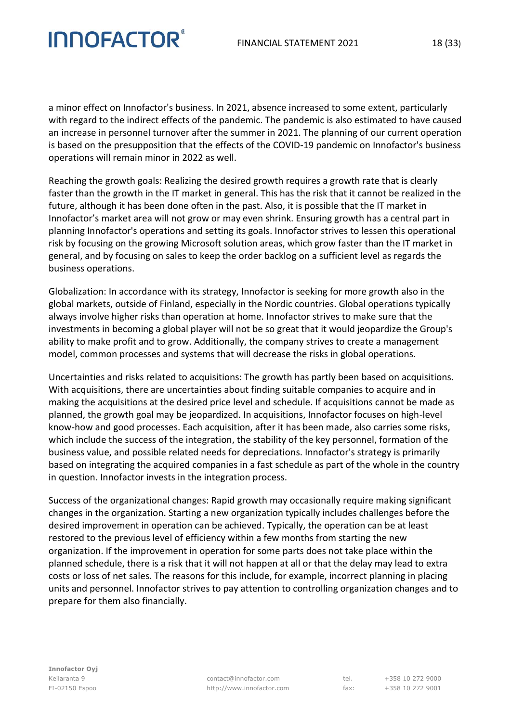a minor effect on Innofactor's business. In 2021, absence increased to some extent, particularly with regard to the indirect effects of the pandemic. The pandemic is also estimated to have caused an increase in personnel turnover after the summer in 2021. The planning of our current operation is based on the presupposition that the effects of the COVID-19 pandemic on Innofactor's business operations will remain minor in 2022 as well.

Reaching the growth goals: Realizing the desired growth requires a growth rate that is clearly faster than the growth in the IT market in general. This has the risk that it cannot be realized in the future, although it has been done often in the past. Also, it is possible that the IT market in Innofactor's market area will not grow or may even shrink. Ensuring growth has a central part in planning Innofactor's operations and setting its goals. Innofactor strives to lessen this operational risk by focusing on the growing Microsoft solution areas, which grow faster than the IT market in general, and by focusing on sales to keep the order backlog on a sufficient level as regards the business operations.

Globalization: In accordance with its strategy, Innofactor is seeking for more growth also in the global markets, outside of Finland, especially in the Nordic countries. Global operations typically always involve higher risks than operation at home. Innofactor strives to make sure that the investments in becoming a global player will not be so great that it would jeopardize the Group's ability to make profit and to grow. Additionally, the company strives to create a management model, common processes and systems that will decrease the risks in global operations.

Uncertainties and risks related to acquisitions: The growth has partly been based on acquisitions. With acquisitions, there are uncertainties about finding suitable companies to acquire and in making the acquisitions at the desired price level and schedule. If acquisitions cannot be made as planned, the growth goal may be jeopardized. In acquisitions, Innofactor focuses on high-level know-how and good processes. Each acquisition, after it has been made, also carries some risks, which include the success of the integration, the stability of the key personnel, formation of the business value, and possible related needs for depreciations. Innofactor's strategy is primarily based on integrating the acquired companies in a fast schedule as part of the whole in the country in question. Innofactor invests in the integration process.

Success of the organizational changes: Rapid growth may occasionally require making significant changes in the organization. Starting a new organization typically includes challenges before the desired improvement in operation can be achieved. Typically, the operation can be at least restored to the previous level of efficiency within a few months from starting the new organization. If the improvement in operation for some parts does not take place within the planned schedule, there is a risk that it will not happen at all or that the delay may lead to extra costs or loss of net sales. The reasons for this include, for example, incorrect planning in placing units and personnel. Innofactor strives to pay attention to controlling organization changes and to prepare for them also financially.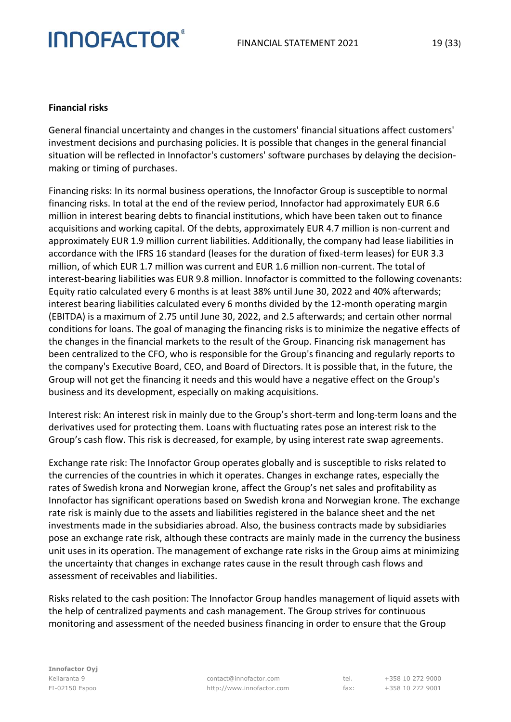#### **Financial risks**

General financial uncertainty and changes in the customers' financial situations affect customers' investment decisions and purchasing policies. It is possible that changes in the general financial situation will be reflected in Innofactor's customers' software purchases by delaying the decisionmaking or timing of purchases.

Financing risks: In its normal business operations, the Innofactor Group is susceptible to normal financing risks. In total at the end of the review period, Innofactor had approximately EUR 6.6 million in interest bearing debts to financial institutions, which have been taken out to finance acquisitions and working capital. Of the debts, approximately EUR 4.7 million is non-current and approximately EUR 1.9 million current liabilities. Additionally, the company had lease liabilities in accordance with the IFRS 16 standard (leases for the duration of fixed-term leases) for EUR 3.3 million, of which EUR 1.7 million was current and EUR 1.6 million non-current. The total of interest-bearing liabilities was EUR 9.8 million. Innofactor is committed to the following covenants: Equity ratio calculated every 6 months is at least 38% until June 30, 2022 and 40% afterwards; interest bearing liabilities calculated every 6 months divided by the 12-month operating margin (EBITDA) is a maximum of 2.75 until June 30, 2022, and 2.5 afterwards; and certain other normal conditions for loans. The goal of managing the financing risks is to minimize the negative effects of the changes in the financial markets to the result of the Group. Financing risk management has been centralized to the CFO, who is responsible for the Group's financing and regularly reports to the company's Executive Board, CEO, and Board of Directors. It is possible that, in the future, the Group will not get the financing it needs and this would have a negative effect on the Group's business and its development, especially on making acquisitions.

Interest risk: An interest risk in mainly due to the Group's short-term and long-term loans and the derivatives used for protecting them. Loans with fluctuating rates pose an interest risk to the Group's cash flow. This risk is decreased, for example, by using interest rate swap agreements.

Exchange rate risk: The Innofactor Group operates globally and is susceptible to risks related to the currencies of the countries in which it operates. Changes in exchange rates, especially the rates of Swedish krona and Norwegian krone, affect the Group's net sales and profitability as Innofactor has significant operations based on Swedish krona and Norwegian krone. The exchange rate risk is mainly due to the assets and liabilities registered in the balance sheet and the net investments made in the subsidiaries abroad. Also, the business contracts made by subsidiaries pose an exchange rate risk, although these contracts are mainly made in the currency the business unit uses in its operation. The management of exchange rate risks in the Group aims at minimizing the uncertainty that changes in exchange rates cause in the result through cash flows and assessment of receivables and liabilities.

Risks related to the cash position: The Innofactor Group handles management of liquid assets with the help of centralized payments and cash management. The Group strives for continuous monitoring and assessment of the needed business financing in order to ensure that the Group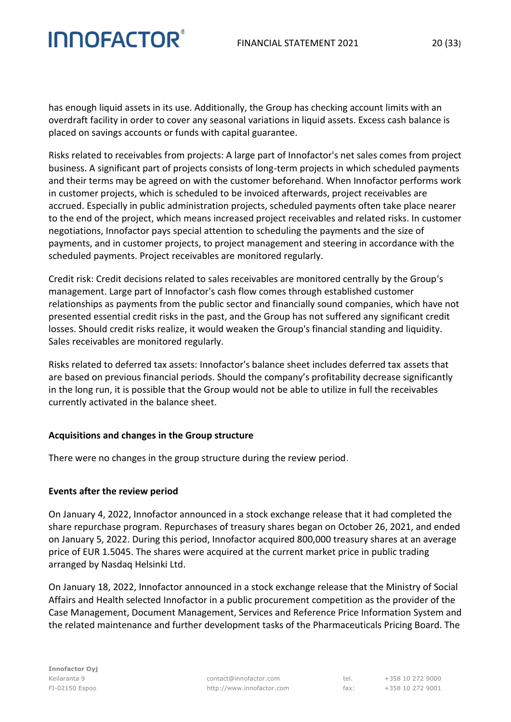#### FINANCIAL STATEMENT 2021 20 (33)

# **INNOFACTOR®**

has enough liquid assets in its use. Additionally, the Group has checking account limits with an overdraft facility in order to cover any seasonal variations in liquid assets. Excess cash balance is placed on savings accounts or funds with capital guarantee.

Risks related to receivables from projects: A large part of Innofactor's net sales comes from project business. A significant part of projects consists of long-term projects in which scheduled payments and their terms may be agreed on with the customer beforehand. When Innofactor performs work in customer projects, which is scheduled to be invoiced afterwards, project receivables are accrued. Especially in public administration projects, scheduled payments often take place nearer to the end of the project, which means increased project receivables and related risks. In customer negotiations, Innofactor pays special attention to scheduling the payments and the size of payments, and in customer projects, to project management and steering in accordance with the scheduled payments. Project receivables are monitored regularly.

Credit risk: Credit decisions related to sales receivables are monitored centrally by the Group's management. Large part of Innofactor's cash flow comes through established customer relationships as payments from the public sector and financially sound companies, which have not presented essential credit risks in the past, and the Group has not suffered any significant credit losses. Should credit risks realize, it would weaken the Group's financial standing and liquidity. Sales receivables are monitored regularly.

Risks related to deferred tax assets: Innofactor's balance sheet includes deferred tax assets that are based on previous financial periods. Should the company's profitability decrease significantly in the long run, it is possible that the Group would not be able to utilize in full the receivables currently activated in the balance sheet.

#### **Acquisitions and changes in the Group structure**

There were no changes in the group structure during the review period.

#### **Events after the review period**

On January 4, 2022, Innofactor announced in a stock exchange release that it had completed the share repurchase program. Repurchases of treasury shares began on October 26, 2021, and ended on January 5, 2022. During this period, Innofactor acquired 800,000 treasury shares at an average price of EUR 1.5045. The shares were acquired at the current market price in public trading arranged by Nasdaq Helsinki Ltd.

On January 18, 2022, Innofactor announced in a stock exchange release that the Ministry of Social Affairs and Health selected Innofactor in a public procurement competition as the provider of the Case Management, Document Management, Services and Reference Price Information System and the related maintenance and further development tasks of the Pharmaceuticals Pricing Board. The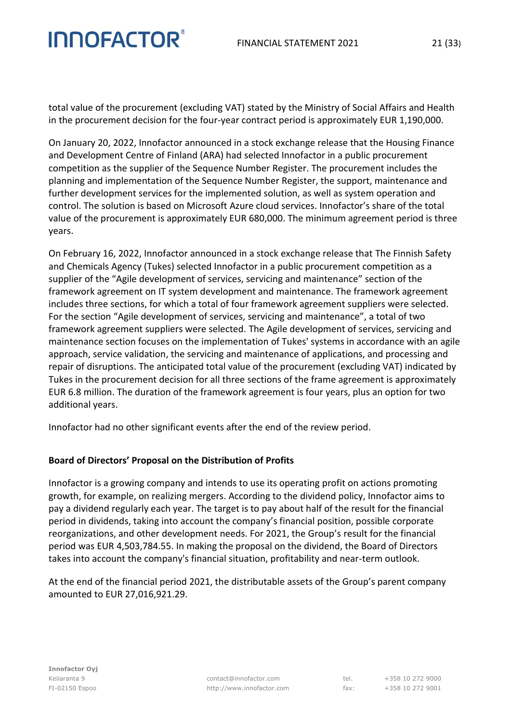total value of the procurement (excluding VAT) stated by the Ministry of Social Affairs and Health in the procurement decision for the four-year contract period is approximately EUR 1,190,000.

On January 20, 2022, Innofactor announced in a stock exchange release that the Housing Finance and Development Centre of Finland (ARA) had selected Innofactor in a public procurement competition as the supplier of the Sequence Number Register. The procurement includes the planning and implementation of the Sequence Number Register, the support, maintenance and further development services for the implemented solution, as well as system operation and control. The solution is based on Microsoft Azure cloud services. Innofactor's share of the total value of the procurement is approximately EUR 680,000. The minimum agreement period is three years.

On February 16, 2022, Innofactor announced in a stock exchange release that The Finnish Safety and Chemicals Agency (Tukes) selected Innofactor in a public procurement competition as a supplier of the "Agile development of services, servicing and maintenance" section of the framework agreement on IT system development and maintenance. The framework agreement includes three sections, for which a total of four framework agreement suppliers were selected. For the section "Agile development of services, servicing and maintenance", a total of two framework agreement suppliers were selected. The Agile development of services, servicing and maintenance section focuses on the implementation of Tukes' systems in accordance with an agile approach, service validation, the servicing and maintenance of applications, and processing and repair of disruptions. The anticipated total value of the procurement (excluding VAT) indicated by Tukes in the procurement decision for all three sections of the frame agreement is approximately EUR 6.8 million. The duration of the framework agreement is four years, plus an option for two additional years.

Innofactor had no other significant events after the end of the review period.

#### **Board of Directors' Proposal on the Distribution of Profits**

Innofactor is a growing company and intends to use its operating profit on actions promoting growth, for example, on realizing mergers. According to the dividend policy, Innofactor aims to pay a dividend regularly each year. The target is to pay about half of the result for the financial period in dividends, taking into account the company's financial position, possible corporate reorganizations, and other development needs. For 2021, the Group's result for the financial period was EUR 4,503,784.55. In making the proposal on the dividend, the Board of Directors takes into account the company's financial situation, profitability and near-term outlook.

At the end of the financial period 2021, the distributable assets of the Group's parent company amounted to EUR 27,016,921.29.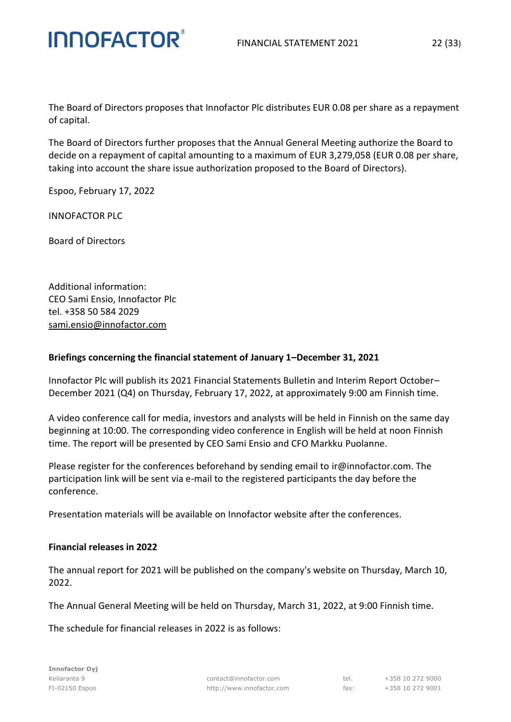The Board of Directors proposes that Innofactor Plc distributes EUR 0.08 per share as a repayment of capital.

The Board of Directors further proposes that the Annual General Meeting authorize the Board to decide on a repayment of capital amounting to a maximum of EUR 3,279,058 (EUR 0.08 per share, taking into account the share issue authorization proposed to the Board of Directors).

Espoo, February 17, 2022

**INNOFACTOR®** 

INNOFACTOR PLC

Board of Directors

Additional information: CEO Sami Ensio, Innofactor Plc tel. +358 50 584 2029 [sami.ensio@innofactor.com](mailto:sami.ensio@innofactor.com)

#### **Briefings concerning the financial statement of January 1–December 31, 2021**

Innofactor Plc will publish its 2021 Financial Statements Bulletin and Interim Report October– December 2021 (Q4) on Thursday, February 17, 2022, at approximately 9:00 am Finnish time.

A video conference call for media, investors and analysts will be held in Finnish on the same day beginning at 10:00. The corresponding video conference in English will be held at noon Finnish time. The report will be presented by CEO Sami Ensio and CFO Markku Puolanne.

Please register for the conferences beforehand by sending email to [ir@innofactor.com.](mailto:ir@innofactor.com) The participation link will be sent via e-mail to the registered participants the day before the conference.

Presentation materials will be available on Innofactor website after the conferences.

#### **Financial releases in 2022**

The annual report for 2021 will be published on the company's website on Thursday, March 10, 2022.

The Annual General Meeting will be held on Thursday, March 31, 2022, at 9:00 Finnish time.

The schedule for financial releases in 2022 is as follows: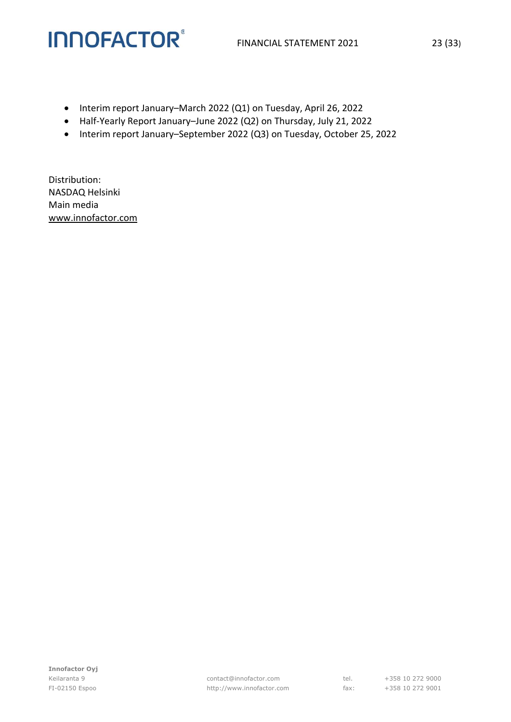- Interim report January–March 2022 (Q1) on Tuesday, April 26, 2022
- Half-Yearly Report January–June 2022 (Q2) on Thursday, July 21, 2022
- Interim report January–September 2022 (Q3) on Tuesday, October 25, 2022

Distribution: NASDAQ Helsinki Main media [www.innofactor.com](http://www.innofactor.fi/)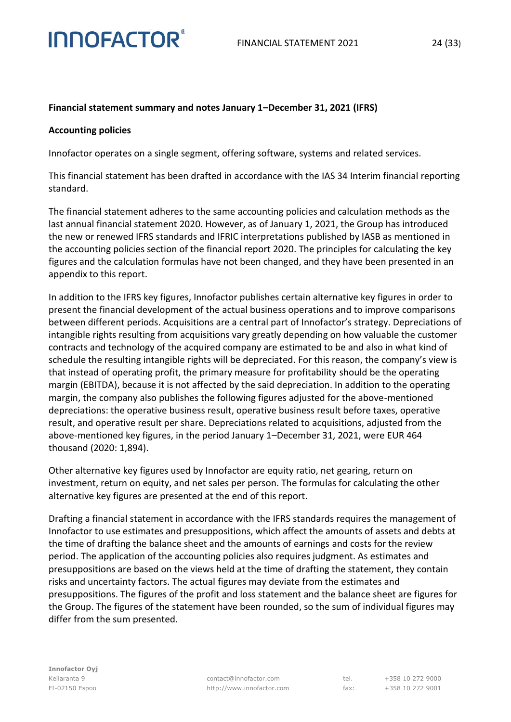#### **Financial statement summary and notes January 1–December 31, 2021 (IFRS)**

#### **Accounting policies**

Innofactor operates on a single segment, offering software, systems and related services.

This financial statement has been drafted in accordance with the IAS 34 Interim financial reporting standard.

The financial statement adheres to the same accounting policies and calculation methods as the last annual financial statement 2020. However, as of January 1, 2021, the Group has introduced the new or renewed IFRS standards and IFRIC interpretations published by IASB as mentioned in the accounting policies section of the financial report 2020. The principles for calculating the key figures and the calculation formulas have not been changed, and they have been presented in an appendix to this report.

In addition to the IFRS key figures, Innofactor publishes certain alternative key figures in order to present the financial development of the actual business operations and to improve comparisons between different periods. Acquisitions are a central part of Innofactor's strategy. Depreciations of intangible rights resulting from acquisitions vary greatly depending on how valuable the customer contracts and technology of the acquired company are estimated to be and also in what kind of schedule the resulting intangible rights will be depreciated. For this reason, the company's view is that instead of operating profit, the primary measure for profitability should be the operating margin (EBITDA), because it is not affected by the said depreciation. In addition to the operating margin, the company also publishes the following figures adjusted for the above-mentioned depreciations: the operative business result, operative business result before taxes, operative result, and operative result per share. Depreciations related to acquisitions, adjusted from the above-mentioned key figures, in the period January 1–December 31, 2021, were EUR 464 thousand (2020: 1,894).

Other alternative key figures used by Innofactor are equity ratio, net gearing, return on investment, return on equity, and net sales per person. The formulas for calculating the other alternative key figures are presented at the end of this report.

Drafting a financial statement in accordance with the IFRS standards requires the management of Innofactor to use estimates and presuppositions, which affect the amounts of assets and debts at the time of drafting the balance sheet and the amounts of earnings and costs for the review period. The application of the accounting policies also requires judgment. As estimates and presuppositions are based on the views held at the time of drafting the statement, they contain risks and uncertainty factors. The actual figures may deviate from the estimates and presuppositions. The figures of the profit and loss statement and the balance sheet are figures for the Group. The figures of the statement have been rounded, so the sum of individual figures may differ from the sum presented.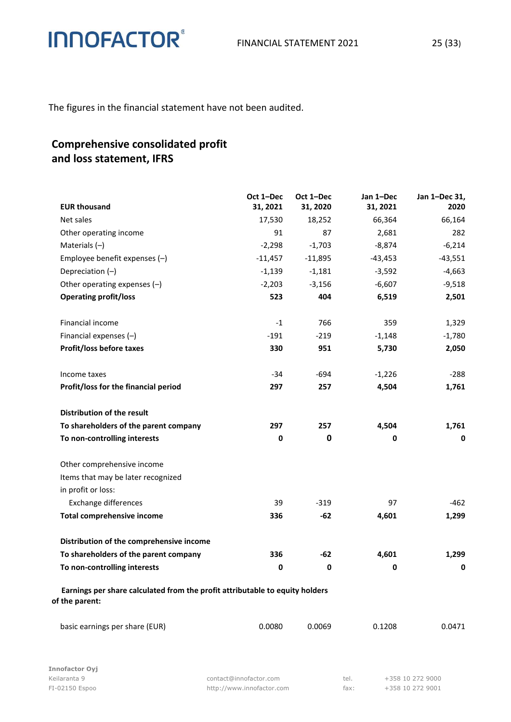The figures in the financial statement have not been audited.

### **Comprehensive consolidated profit and loss statement, IFRS**

| <b>EUR thousand</b>                                                                            | Oct 1-Dec<br>31, 2021 | Oct 1-Dec<br>31, 2020 | Jan 1-Dec<br>31, 2021 | Jan 1-Dec 31,<br>2020 |
|------------------------------------------------------------------------------------------------|-----------------------|-----------------------|-----------------------|-----------------------|
| Net sales                                                                                      | 17,530                | 18,252                | 66,364                | 66,164                |
| Other operating income                                                                         | 91                    | 87                    | 2,681                 | 282                   |
| Materials $(-)$                                                                                | $-2,298$              | $-1,703$              | $-8,874$              | $-6,214$              |
| Employee benefit expenses (-)                                                                  | $-11,457$             | $-11,895$             | $-43,453$             | $-43,551$             |
| Depreciation $(-)$                                                                             | $-1,139$              | $-1,181$              | $-3,592$              | $-4,663$              |
| Other operating expenses $(-)$                                                                 | $-2,203$              | $-3,156$              | $-6,607$              | $-9,518$              |
| <b>Operating profit/loss</b>                                                                   | 523                   | 404                   | 6,519                 | 2,501                 |
| Financial income                                                                               | $-1$                  | 766                   | 359                   | 1,329                 |
| Financial expenses $(-)$                                                                       | $-191$                | $-219$                | $-1,148$              | $-1,780$              |
| Profit/loss before taxes                                                                       | 330                   | 951                   | 5,730                 | 2,050                 |
| Income taxes                                                                                   | $-34$                 | $-694$                | $-1,226$              | $-288$                |
| Profit/loss for the financial period                                                           | 297                   | 257                   | 4,504                 | 1,761                 |
| Distribution of the result                                                                     |                       |                       |                       |                       |
| To shareholders of the parent company                                                          | 297                   | 257                   | 4,504                 | 1,761                 |
| To non-controlling interests                                                                   | 0                     | 0                     | 0                     | $\bf{0}$              |
| Other comprehensive income                                                                     |                       |                       |                       |                       |
| Items that may be later recognized                                                             |                       |                       |                       |                       |
| in profit or loss:                                                                             |                       |                       |                       |                       |
| <b>Exchange differences</b>                                                                    | 39                    | $-319$                | 97                    | $-462$                |
| <b>Total comprehensive income</b>                                                              | 336                   | $-62$                 | 4,601                 | 1,299                 |
| Distribution of the comprehensive income                                                       |                       |                       |                       |                       |
| To shareholders of the parent company                                                          | 336                   | $-62$                 | 4,601                 | 1,299                 |
| To non-controlling interests                                                                   | 0                     | $\pmb{0}$             | $\bf{0}$              | 0                     |
| Earnings per share calculated from the profit attributable to equity holders<br>of the parent: |                       |                       |                       |                       |
| basic earnings per share (EUR)                                                                 | 0.0080                | 0.0069                | 0.1208                | 0.0471                |

Keilaranta 9 **contact@innofactor.com** tel. +358 10 272 9000 FI-02150 Espoo http://www.innofactor.com fax: +358 10 272 9001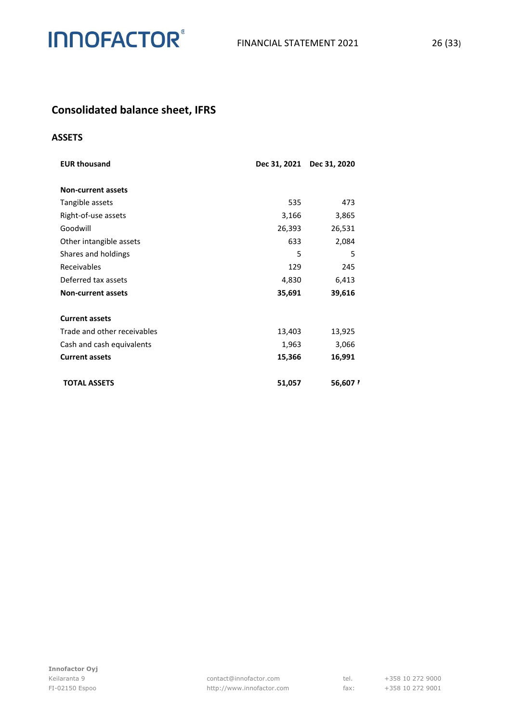

### **Consolidated balance sheet, IFRS**

#### **ASSETS**

| <b>EUR thousand</b>         |        | Dec 31, 2021 Dec 31, 2020 |
|-----------------------------|--------|---------------------------|
| <b>Non-current assets</b>   |        |                           |
| Tangible assets             | 535    | 473                       |
| Right-of-use assets         | 3,166  | 3,865                     |
| Goodwill                    | 26,393 | 26,531                    |
| Other intangible assets     | 633    | 2,084                     |
| Shares and holdings         | 5      | 5                         |
| Receivables                 | 129    | 245                       |
| Deferred tax assets         | 4,830  | 6,413                     |
| <b>Non-current assets</b>   | 35,691 | 39,616                    |
| <b>Current assets</b>       |        |                           |
| Trade and other receivables | 13,403 | 13,925                    |
| Cash and cash equivalents   | 1,963  | 3,066                     |
| <b>Current assets</b>       | 15,366 | 16,991                    |
| <b>TOTAL ASSETS</b>         | 51,057 | 56,607                    |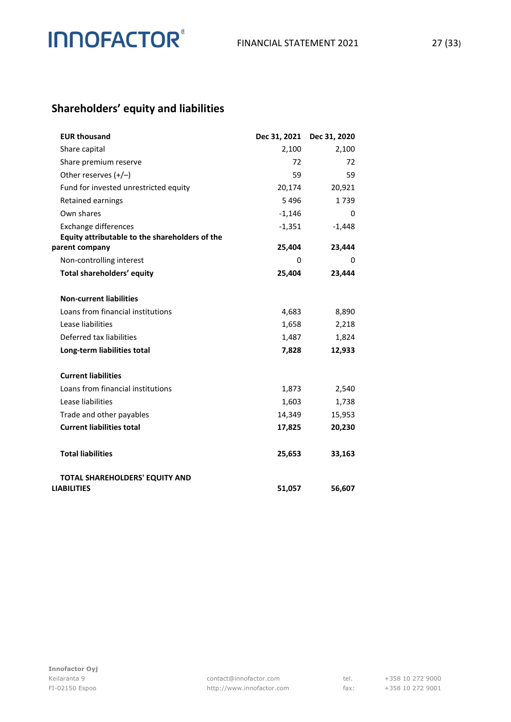### **Shareholders' equity and liabilities**

| <b>EUR thousand</b>                            | Dec 31, 2021 | Dec 31, 2020 |
|------------------------------------------------|--------------|--------------|
| Share capital                                  | 2,100        | 2,100        |
| Share premium reserve                          | 72           | 72           |
| Other reserves $(+/-)$                         | 59           | 59           |
| Fund for invested unrestricted equity          | 20,174       | 20,921       |
| Retained earnings                              | 5496         | 1739         |
| Own shares                                     | $-1,146$     | 0            |
| <b>Exchange differences</b>                    | $-1,351$     | $-1,448$     |
| Equity attributable to the shareholders of the |              |              |
| parent company                                 | 25,404       | 23,444       |
| Non-controlling interest                       | 0            | 0            |
| Total shareholders' equity                     | 25,404       | 23,444       |
| <b>Non-current liabilities</b>                 |              |              |
| Loans from financial institutions              | 4,683        | 8,890        |
| Lease liabilities                              | 1,658        | 2,218        |
| Deferred tax liabilities                       | 1,487        | 1,824        |
| Long-term liabilities total                    | 7,828        | 12,933       |
| <b>Current liabilities</b>                     |              |              |
| Loans from financial institutions              | 1,873        | 2,540        |
| Lease liabilities                              | 1,603        | 1,738        |
| Trade and other payables                       | 14,349       | 15,953       |
| <b>Current liabilities total</b>               | 17,825       | 20,230       |
| <b>Total liabilities</b>                       | 25,653       | 33,163       |
| <b>TOTAL SHAREHOLDERS' EQUITY AND</b>          |              |              |
| <b>LIABILITIES</b>                             | 51,057       | 56,607       |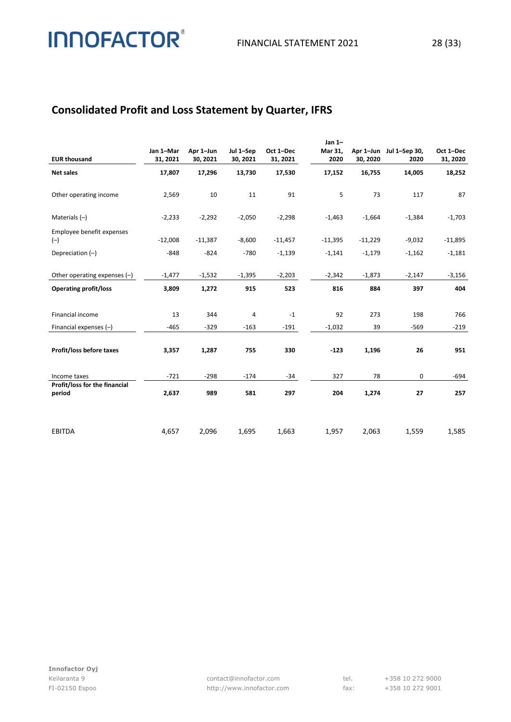### **Consolidated Profit and Loss Statement by Quarter, IFRS**

**INNOFACTOR®** 

|                                    |           |           |           |             | Jan $1-$  |           |                         |           |
|------------------------------------|-----------|-----------|-----------|-------------|-----------|-----------|-------------------------|-----------|
|                                    | Jan 1-Mar | Apr 1-Jun | Jul 1-Sep | Oct 1-Dec   | Mar 31,   |           | Apr 1-Jun Jul 1-Sep 30, | Oct 1-Dec |
| <b>EUR thousand</b>                | 31, 2021  | 30, 2021  | 30, 2021  | 31, 2021    | 2020      | 30, 2020  | 2020                    | 31, 2020  |
| <b>Net sales</b>                   | 17,807    | 17,296    | 13,730    | 17,530      | 17,152    | 16,755    | 14,005                  | 18,252    |
| Other operating income             | 2,569     | 10        | 11        | 91          | 5         | 73        | 117                     | 87        |
|                                    |           |           |           |             |           |           |                         |           |
| Materials $(-)$                    | $-2,233$  | $-2,292$  | $-2,050$  | $-2,298$    | $-1,463$  | $-1,664$  | $-1,384$                | $-1,703$  |
| Employee benefit expenses<br>$(-)$ | $-12,008$ | $-11,387$ | $-8,600$  | $-11,457$   | $-11,395$ | $-11,229$ | $-9,032$                | $-11,895$ |
| Depreciation $(-)$                 | $-848$    | $-824$    | $-780$    | $-1,139$    | $-1,141$  | $-1,179$  | $-1,162$                | $-1,181$  |
|                                    |           |           |           |             |           |           |                         |           |
| Other operating expenses $(-)$     | $-1,477$  | $-1,532$  | $-1,395$  | $-2,203$    | $-2,342$  | $-1,873$  | $-2,147$                | $-3,156$  |
| <b>Operating profit/loss</b>       | 3,809     | 1,272     | 915       | 523         | 816       | 884       | 397                     | 404       |
|                                    |           |           |           |             |           |           |                         |           |
| Financial income                   | 13        | 344       | 4         | $^{\rm -1}$ | 92        | 273       | 198                     | 766       |
| Financial expenses (-)             | $-465$    | $-329$    | $-163$    | $-191$      | $-1,032$  | 39        | $-569$                  | $-219$    |
|                                    |           |           |           |             |           |           |                         |           |
| Profit/loss before taxes           | 3,357     | 1,287     | 755       | 330         | $-123$    | 1,196     | 26                      | 951       |
| Income taxes                       | $-721$    | $-298$    | $-174$    | $-34$       | 327       | 78        | 0                       | $-694$    |
| Profit/loss for the financial      |           |           |           |             |           |           |                         |           |
| period                             | 2,637     | 989       | 581       | 297         | 204       | 1,274     | 27                      | 257       |
|                                    |           |           |           |             |           |           |                         |           |
|                                    |           |           |           |             |           |           |                         |           |
| <b>EBITDA</b>                      | 4,657     | 2,096     | 1,695     | 1,663       | 1,957     | 2,063     | 1,559                   | 1,585     |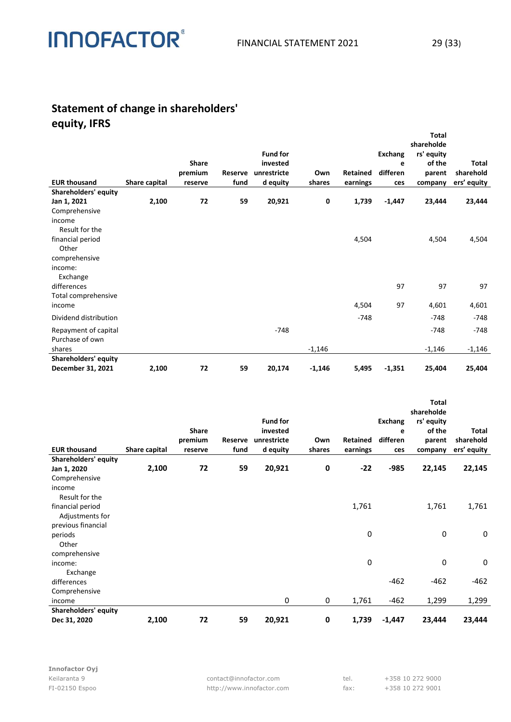### **Statement of change in shareholders' equity, IFRS**

**INNOFACTOR®** 

|                                         |               |                    |                 |                         |               |                             |                 | <b>Total</b><br>shareholde |                          |
|-----------------------------------------|---------------|--------------------|-----------------|-------------------------|---------------|-----------------------------|-----------------|----------------------------|--------------------------|
|                                         |               |                    |                 | <b>Fund for</b>         |               |                             | <b>Exchang</b>  | rs' equity                 |                          |
|                                         |               | <b>Share</b>       |                 | invested                |               |                             | e               | of the                     | Total                    |
| <b>EUR thousand</b>                     | Share capital | premium<br>reserve | Reserve<br>fund | unrestricte<br>d equity | Own<br>shares | <b>Retained</b><br>earnings | differen<br>ces | parent<br>company          | sharehold<br>ers' equity |
| Shareholders' equity                    |               |                    |                 |                         |               |                             |                 |                            |                          |
| Jan 1, 2021                             | 2,100         | 72                 | 59              | 20,921                  | 0             | 1,739                       | $-1,447$        | 23,444                     | 23,444                   |
| Comprehensive                           |               |                    |                 |                         |               |                             |                 |                            |                          |
| income                                  |               |                    |                 |                         |               |                             |                 |                            |                          |
| Result for the                          |               |                    |                 |                         |               |                             |                 |                            |                          |
| financial period                        |               |                    |                 |                         |               | 4,504                       |                 | 4,504                      | 4,504                    |
| Other                                   |               |                    |                 |                         |               |                             |                 |                            |                          |
| comprehensive                           |               |                    |                 |                         |               |                             |                 |                            |                          |
| income:                                 |               |                    |                 |                         |               |                             |                 |                            |                          |
| Exchange                                |               |                    |                 |                         |               |                             |                 |                            |                          |
| differences                             |               |                    |                 |                         |               |                             | 97              | 97                         | 97                       |
| Total comprehensive<br>income           |               |                    |                 |                         |               | 4,504                       | 97              | 4,601                      | 4,601                    |
|                                         |               |                    |                 |                         |               |                             |                 |                            |                          |
| Dividend distribution                   |               |                    |                 |                         |               | $-748$                      |                 | $-748$                     | $-748$                   |
| Repayment of capital<br>Purchase of own |               |                    |                 | $-748$                  |               |                             |                 | $-748$                     | $-748$                   |
| shares                                  |               |                    |                 |                         | $-1,146$      |                             |                 | $-1,146$                   | $-1,146$                 |
| Shareholders' equity                    |               |                    |                 |                         |               |                             |                 |                            |                          |
| December 31, 2021                       | 2,100         | 72                 | 59              | 20,174                  | $-1,146$      | 5,495                       | $-1,351$        | 25,404                     | 25,404                   |
|                                         |               |                    |                 |                         |               |                             |                 |                            |                          |
|                                         |               |                    |                 |                         |               |                             |                 |                            |                          |

| <b>EUR thousand</b>                 | Share capital | <b>Share</b><br>premium<br>reserve | <b>Reserve</b><br>fund | <b>Fund for</b><br>invested<br>unrestricte<br>d equity | Own<br>shares | Retained<br>earnings | Exchang<br>e<br>differen<br>ces | Total<br>shareholde<br>rs' equity<br>of the<br>parent<br>company | Total<br>sharehold<br>ers' equity |
|-------------------------------------|---------------|------------------------------------|------------------------|--------------------------------------------------------|---------------|----------------------|---------------------------------|------------------------------------------------------------------|-----------------------------------|
| Shareholders' equity<br>Jan 1, 2020 | 2,100         | 72                                 | 59                     | 20,921                                                 | 0             | $-22$                | $-985$                          | 22,145                                                           | 22,145                            |
| Comprehensive                       |               |                                    |                        |                                                        |               |                      |                                 |                                                                  |                                   |
| income                              |               |                                    |                        |                                                        |               |                      |                                 |                                                                  |                                   |
| Result for the                      |               |                                    |                        |                                                        |               |                      |                                 |                                                                  |                                   |
| financial period<br>Adjustments for |               |                                    |                        |                                                        |               | 1,761                |                                 | 1,761                                                            | 1,761                             |
| previous financial                  |               |                                    |                        |                                                        |               |                      |                                 |                                                                  |                                   |
| periods                             |               |                                    |                        |                                                        |               | 0                    |                                 | 0                                                                | 0                                 |
| Other                               |               |                                    |                        |                                                        |               |                      |                                 |                                                                  |                                   |
| comprehensive                       |               |                                    |                        |                                                        |               |                      |                                 |                                                                  |                                   |
| income:                             |               |                                    |                        |                                                        |               | 0                    |                                 | 0                                                                | 0                                 |
| Exchange                            |               |                                    |                        |                                                        |               |                      |                                 |                                                                  |                                   |
| differences                         |               |                                    |                        |                                                        |               |                      | $-462$                          | $-462$                                                           | $-462$                            |
| Comprehensive                       |               |                                    |                        |                                                        |               |                      |                                 |                                                                  |                                   |
| income                              |               |                                    |                        | 0                                                      | 0             | 1,761                | $-462$                          | 1,299                                                            | 1,299                             |
| Shareholders' equity                |               |                                    |                        |                                                        |               |                      |                                 |                                                                  |                                   |
| Dec 31, 2020                        | 2,100         | 72                                 | 59                     | 20,921                                                 | 0             | 1,739                | $-1,447$                        | 23,444                                                           | 23,444                            |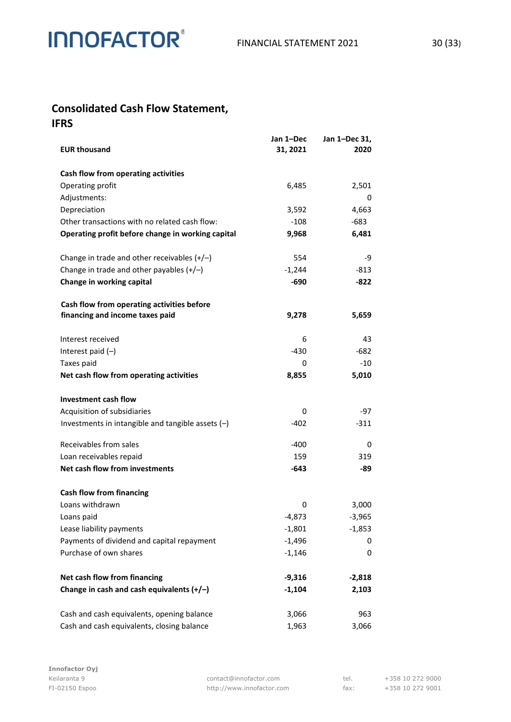### **Consolidated Cash Flow Statement,**

**IFRS**

| <b>EUR thousand</b>                                                           | Jan 1-Dec<br>31, 2021 | Jan 1-Dec 31,<br>2020 |
|-------------------------------------------------------------------------------|-----------------------|-----------------------|
| Cash flow from operating activities                                           |                       |                       |
| Operating profit                                                              | 6,485                 | 2,501                 |
| Adjustments:                                                                  |                       | 0                     |
| Depreciation                                                                  | 3,592                 | 4,663                 |
| Other transactions with no related cash flow:                                 | $-108$                | $-683$                |
| Operating profit before change in working capital                             | 9,968                 | 6,481                 |
| Change in trade and other receivables $(+/-)$                                 | 554                   | -9                    |
| Change in trade and other payables $(+/-)$                                    | $-1,244$              | -813                  |
| Change in working capital                                                     | $-690$                | $-822$                |
| Cash flow from operating activities before<br>financing and income taxes paid | 9,278                 | 5,659                 |
|                                                                               |                       |                       |
| Interest received                                                             | 6<br>-430             | 43<br>-682            |
| Interest paid $(-)$<br>Taxes paid                                             | 0                     | $-10$                 |
| Net cash flow from operating activities                                       | 8,855                 | 5,010                 |
| Investment cash flow                                                          |                       |                       |
| Acquisition of subsidiaries                                                   | 0                     | -97                   |
| Investments in intangible and tangible assets $(-)$                           | $-402$                | $-311$                |
| Receivables from sales                                                        | $-400$                | 0                     |
| Loan receivables repaid                                                       | 159                   | 319                   |
| Net cash flow from investments                                                | $-643$                | -89                   |
| <b>Cash flow from financing</b>                                               |                       |                       |
| Loans withdrawn                                                               | 0                     | 3,000                 |
| Loans paid                                                                    | $-4,873$              | -3,965                |
| Lease liability payments                                                      | $-1,801$              | $-1,853$              |
| Payments of dividend and capital repayment                                    | $-1,496$              | 0                     |
| Purchase of own shares                                                        | $-1,146$              | 0                     |
| Net cash flow from financing                                                  | $-9,316$              | $-2,818$              |
| Change in cash and cash equivalents $(+/-)$                                   | $-1,104$              | 2,103                 |
| Cash and cash equivalents, opening balance                                    | 3,066                 | 963                   |
| Cash and cash equivalents, closing balance                                    | 1,963                 | 3,066                 |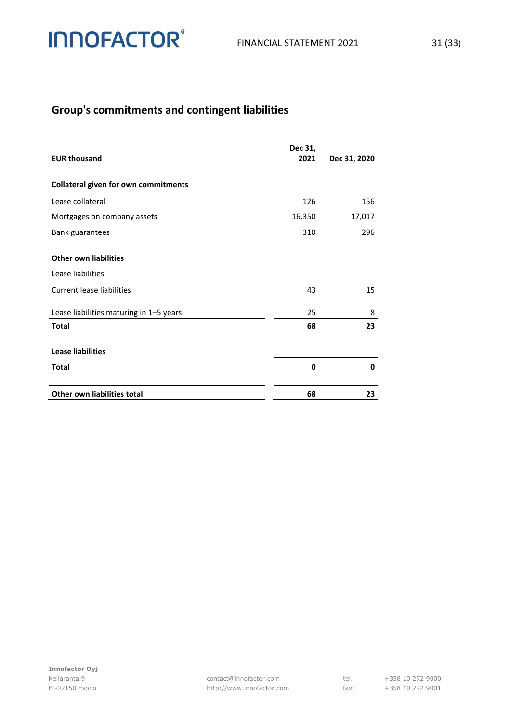

### **Group's commitments and contingent liabilities**

|                                             | Dec 31, |              |
|---------------------------------------------|---------|--------------|
| <b>EUR thousand</b>                         | 2021    | Dec 31, 2020 |
| <b>Collateral given for own commitments</b> |         |              |
| Lease collateral                            | 126     | 156          |
| Mortgages on company assets                 | 16,350  | 17,017       |
| Bank guarantees                             | 310     | 296          |
| <b>Other own liabilities</b>                |         |              |
| Lease liabilities                           |         |              |
| Current lease liabilities                   | 43      | 15           |
| Lease liabilities maturing in 1-5 years     | 25      | 8            |
| <b>Total</b>                                | 68      | 23           |
| <b>Lease liabilities</b>                    |         |              |
| <b>Total</b>                                | 0       | 0            |
| Other own liabilities total                 | 68      | 23           |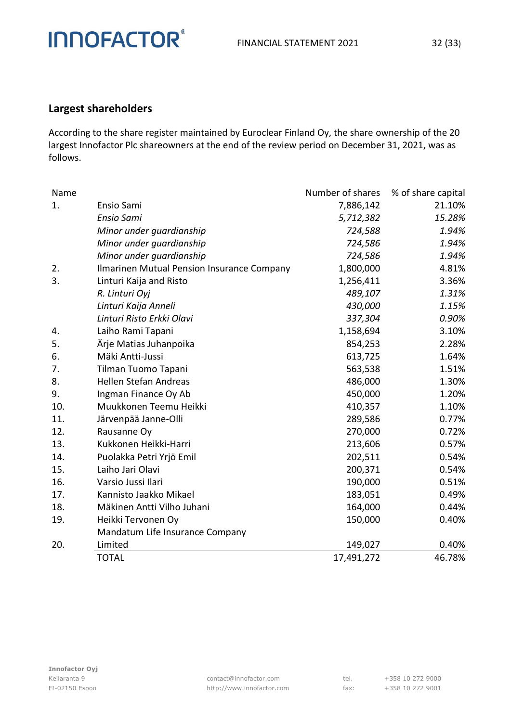#### **Largest shareholders**

**INNOFACTOR®** 

According to the share register maintained by Euroclear Finland Oy, the share ownership of the 20 largest Innofactor Plc shareowners at the end of the review period on December 31, 2021, was as follows.

| Name |                                            | Number of shares | % of share capital |
|------|--------------------------------------------|------------------|--------------------|
| 1.   | Ensio Sami                                 | 7,886,142        | 21.10%             |
|      | <b>Ensio Sami</b>                          | 5,712,382        | 15.28%             |
|      | Minor under guardianship                   | 724,588          | 1.94%              |
|      | Minor under guardianship                   | 724,586          | 1.94%              |
|      | Minor under guardianship                   | 724,586          | 1.94%              |
| 2.   | Ilmarinen Mutual Pension Insurance Company | 1,800,000        | 4.81%              |
| 3.   | Linturi Kaija and Risto                    | 1,256,411        | 3.36%              |
|      | R. Linturi Oyj                             | 489,107          | 1.31%              |
|      | Linturi Kaija Anneli                       | 430,000          | 1.15%              |
|      | Linturi Risto Erkki Olavi                  | 337,304          | 0.90%              |
| 4.   | Laiho Rami Tapani                          | 1,158,694        | 3.10%              |
| 5.   | Ärje Matias Juhanpoika                     | 854,253          | 2.28%              |
| 6.   | Mäki Antti-Jussi                           | 613,725          | 1.64%              |
| 7.   | Tilman Tuomo Tapani                        | 563,538          | 1.51%              |
| 8.   | Hellen Stefan Andreas                      | 486,000          | 1.30%              |
| 9.   | Ingman Finance Oy Ab                       | 450,000          | 1.20%              |
| 10.  | Muukkonen Teemu Heikki                     | 410,357          | 1.10%              |
| 11.  | Järvenpää Janne-Olli                       | 289,586          | 0.77%              |
| 12.  | Rausanne Oy                                | 270,000          | 0.72%              |
| 13.  | Kukkonen Heikki-Harri                      | 213,606          | 0.57%              |
| 14.  | Puolakka Petri Yrjö Emil                   | 202,511          | 0.54%              |
| 15.  | Laiho Jari Olavi                           | 200,371          | 0.54%              |
| 16.  | Varsio Jussi Ilari                         | 190,000          | 0.51%              |
| 17.  | Kannisto Jaakko Mikael                     | 183,051          | 0.49%              |
| 18.  | Mäkinen Antti Vilho Juhani                 | 164,000          | 0.44%              |
| 19.  | Heikki Tervonen Oy                         | 150,000          | 0.40%              |
|      | Mandatum Life Insurance Company            |                  |                    |
| 20.  | Limited                                    | 149,027          | 0.40%              |
|      | <b>TOTAL</b>                               | 17,491,272       | 46.78%             |